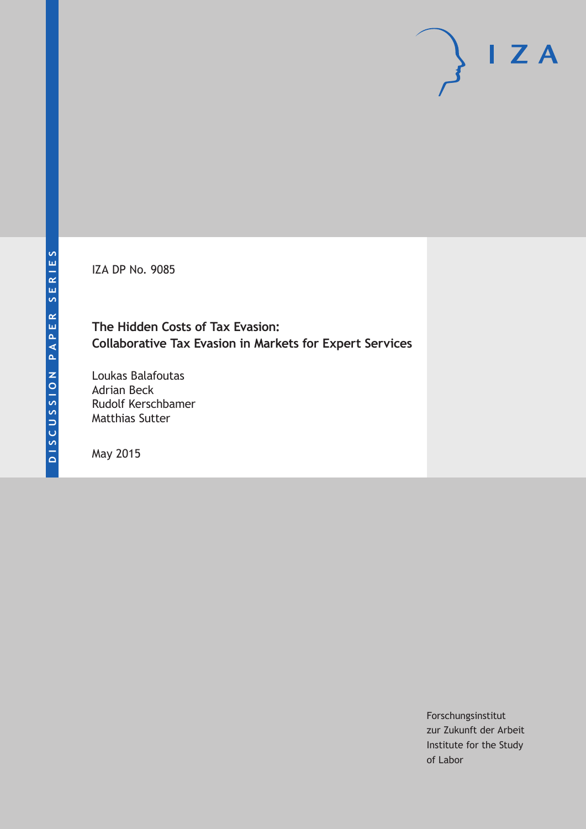IZA DP No. 9085

**The Hidden Costs of Tax Evasion: Collaborative Tax Evasion in Markets for Expert Services**

Loukas Balafoutas Adrian Beck Rudolf Kerschbamer Matthias Sutter

May 2015

Forschungsinstitut zur Zukunft der Arbeit Institute for the Study of Labor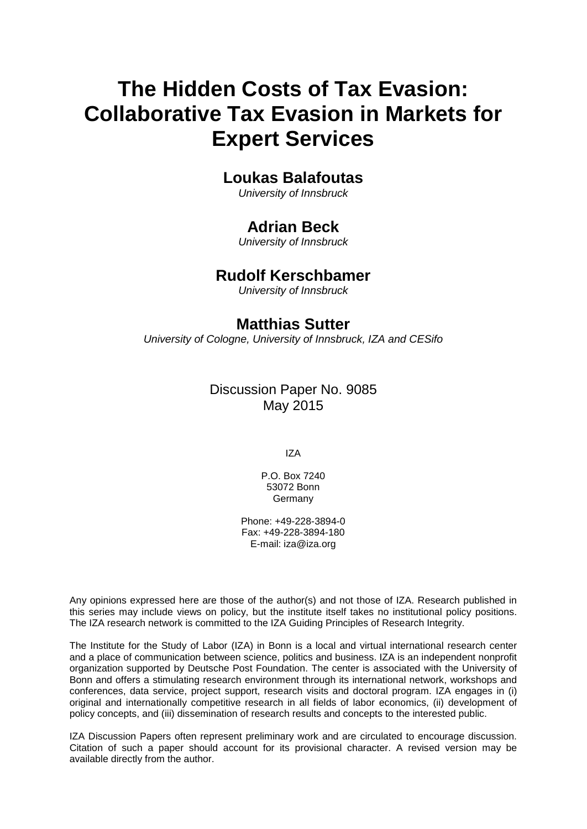# **The Hidden Costs of Tax Evasion: Collaborative Tax Evasion in Markets for Expert Services**

## **Loukas Balafoutas**

*University of Innsbruck*

## **Adrian Beck**

*University of Innsbruck*

## **Rudolf Kerschbamer**

*University of Innsbruck*

## **Matthias Sutter**

*University of Cologne, University of Innsbruck, IZA and CESifo*

## Discussion Paper No. 9085 May 2015

IZA

P.O. Box 7240 53072 Bonn **Germany** 

Phone: +49-228-3894-0 Fax: +49-228-3894-180 E-mail: iza@iza.org

Any opinions expressed here are those of the author(s) and not those of IZA. Research published in this series may include views on policy, but the institute itself takes no institutional policy positions. The IZA research network is committed to the IZA Guiding Principles of Research Integrity.

The Institute for the Study of Labor (IZA) in Bonn is a local and virtual international research center and a place of communication between science, politics and business. IZA is an independent nonprofit organization supported by Deutsche Post Foundation. The center is associated with the University of Bonn and offers a stimulating research environment through its international network, workshops and conferences, data service, project support, research visits and doctoral program. IZA engages in (i) original and internationally competitive research in all fields of labor economics, (ii) development of policy concepts, and (iii) dissemination of research results and concepts to the interested public.

<span id="page-1-0"></span>IZA Discussion Papers often represent preliminary work and are circulated to encourage discussion. Citation of such a paper should account for its provisional character. A revised version may be available directly from the author.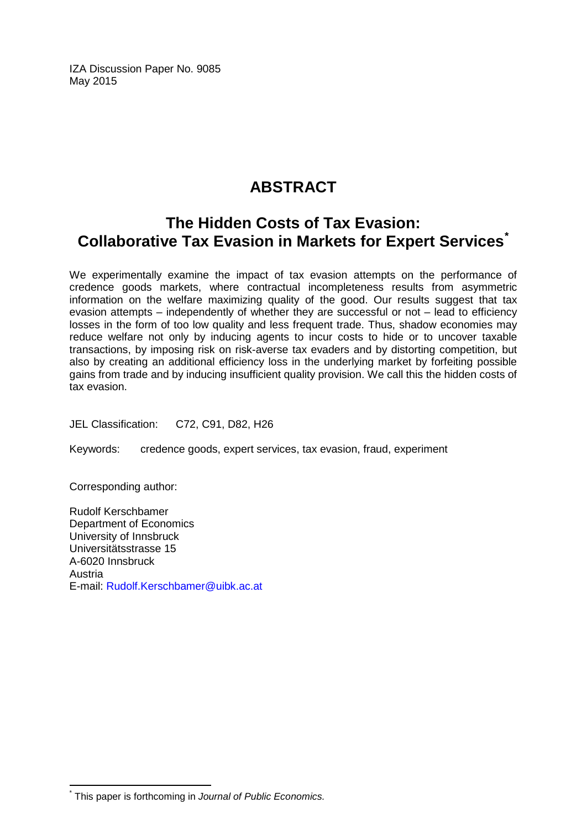IZA Discussion Paper No. 9085 May 2015

## **ABSTRACT**

## **The Hidden Costs of Tax Evasion: Collaborative Tax Evasion in Markets for Expert Services[\\*](#page-1-0)**

We experimentally examine the impact of tax evasion attempts on the performance of credence goods markets, where contractual incompleteness results from asymmetric information on the welfare maximizing quality of the good. Our results suggest that tax evasion attempts – independently of whether they are successful or not – lead to efficiency losses in the form of too low quality and less frequent trade. Thus, shadow economies may reduce welfare not only by inducing agents to incur costs to hide or to uncover taxable transactions, by imposing risk on risk-averse tax evaders and by distorting competition, but also by creating an additional efficiency loss in the underlying market by forfeiting possible gains from trade and by inducing insufficient quality provision. We call this the hidden costs of tax evasion.

JEL Classification: C72, C91, D82, H26

Keywords: credence goods, expert services, tax evasion, fraud, experiment

Corresponding author:

Rudolf Kerschbamer Department of Economics University of Innsbruck Universitätsstrasse 15 A-6020 Innsbruck Austria E-mail: [Rudolf.Kerschbamer@uibk.ac.at](mailto:Rudolf.Kerschbamer@uibk.ac.at)

\* This paper is forthcoming in *Journal of Public Economics.*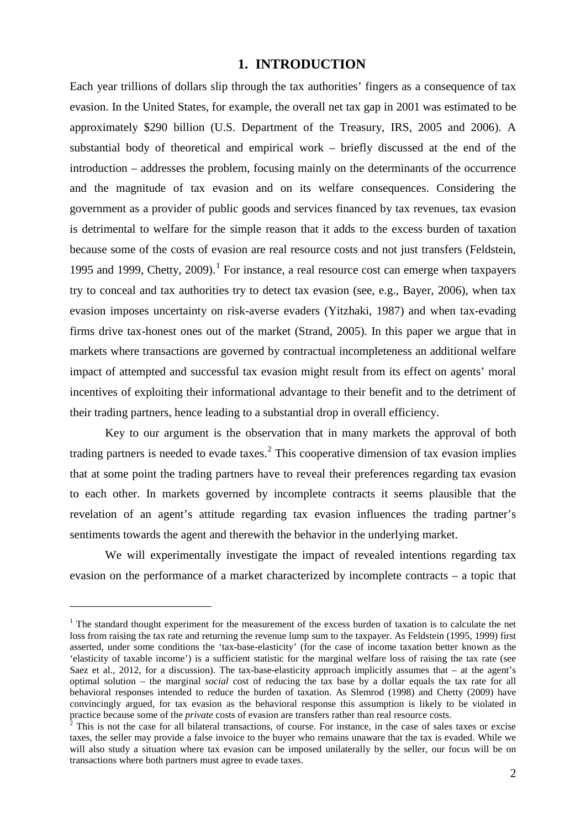### **1. INTRODUCTION**

Each year trillions of dollars slip through the tax authorities' fingers as a consequence of tax evasion. In the United States, for example, the overall net tax gap in 2001 was estimated to be approximately \$290 billion (U.S. Department of the Treasury, IRS, 2005 and 2006). A substantial body of theoretical and empirical work – briefly discussed at the end of the introduction – addresses the problem, focusing mainly on the determinants of the occurrence and the magnitude of tax evasion and on its welfare consequences. Considering the government as a provider of public goods and services financed by tax revenues, tax evasion is detrimental to welfare for the simple reason that it adds to the excess burden of taxation because some of the costs of evasion are real resource costs and not just transfers (Feldstein, 1995 and 1999, Chetty,  $2009$ ).<sup>1</sup> For instance, a real resource cost can emerge when taxpayers try to conceal and tax authorities try to detect tax evasion (see, e.g., Bayer, 2006), when tax evasion imposes uncertainty on risk-averse evaders (Yitzhaki, 1987) and when tax-evading firms drive tax-honest ones out of the market (Strand, 2005). In this paper we argue that in markets where transactions are governed by contractual incompleteness an additional welfare impact of attempted and successful tax evasion might result from its effect on agents' moral incentives of exploiting their informational advantage to their benefit and to the detriment of their trading partners, hence leading to a substantial drop in overall efficiency.

Key to our argument is the observation that in many markets the approval of both trading partners is needed to evade taxes.<sup>[2](#page-3-0)</sup> This cooperative dimension of tax evasion implies that at some point the trading partners have to reveal their preferences regarding tax evasion to each other. In markets governed by incomplete contracts it seems plausible that the revelation of an agent's attitude regarding tax evasion influences the trading partner's sentiments towards the agent and therewith the behavior in the underlying market.

We will experimentally investigate the impact of revealed intentions regarding tax evasion on the performance of a market characterized by incomplete contracts – a topic that

-

<sup>&</sup>lt;sup>1</sup> The standard thought experiment for the measurement of the excess burden of taxation is to calculate the net loss from raising the tax rate and returning the revenue lump sum to the taxpayer. As Feldstein (1995, 1999) first asserted, under some conditions the 'tax-base-elasticity' (for the case of income taxation better known as the 'elasticity of taxable income') is a sufficient statistic for the marginal welfare loss of raising the tax rate (see Saez et al., 2012, for a discussion). The tax-base-elasticity approach implicitly assumes that – at the agent's optimal solution – the marginal *social* cost of reducing the tax base by a dollar equals the tax rate for all behavioral responses intended to reduce the burden of taxation. As Slemrod (1998) and Chetty (2009) have convincingly argued, for tax evasion as the behavioral response this assumption is likely to be violated in practice because some of the *private* costs of evasion are transfers rather than real resource costs.

<span id="page-3-1"></span><span id="page-3-0"></span><sup>&</sup>lt;sup>2</sup> This is not the case for all bilateral transactions, of course. For instance, in the case of sales taxes or excise taxes, the seller may provide a false invoice to the buyer who remains unaware that the tax is evaded. While we will also study a situation where tax evasion can be imposed unilaterally by the seller, our focus will be on transactions where both partners must agree to evade taxes.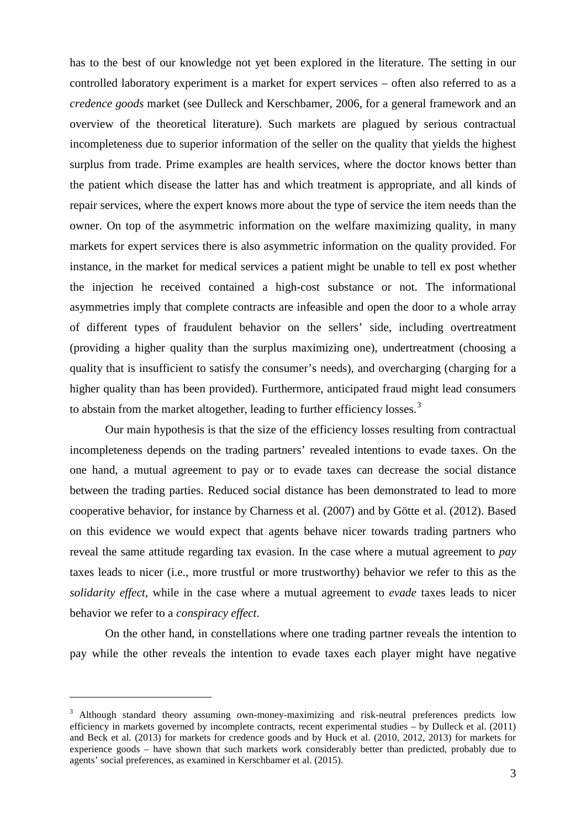has to the best of our knowledge not yet been explored in the literature. The setting in our controlled laboratory experiment is a market for expert services – often also referred to as a *credence goods* market (see Dulleck and Kerschbamer, 2006, for a general framework and an overview of the theoretical literature). Such markets are plagued by serious contractual incompleteness due to superior information of the seller on the quality that yields the highest surplus from trade. Prime examples are health services, where the doctor knows better than the patient which disease the latter has and which treatment is appropriate, and all kinds of repair services, where the expert knows more about the type of service the item needs than the owner. On top of the asymmetric information on the welfare maximizing quality, in many markets for expert services there is also asymmetric information on the quality provided. For instance, in the market for medical services a patient might be unable to tell ex post whether the injection he received contained a high-cost substance or not. The informational asymmetries imply that complete contracts are infeasible and open the door to a whole array of different types of fraudulent behavior on the sellers' side, including overtreatment (providing a higher quality than the surplus maximizing one), undertreatment (choosing a quality that is insufficient to satisfy the consumer's needs), and overcharging (charging for a higher quality than has been provided). Furthermore, anticipated fraud might lead consumers to abstain from the market altogether, leading to further efficiency losses.<sup>[3](#page-3-1)</sup>

Our main hypothesis is that the size of the efficiency losses resulting from contractual incompleteness depends on the trading partners' revealed intentions to evade taxes. On the one hand, a mutual agreement to pay or to evade taxes can decrease the social distance between the trading parties. Reduced social distance has been demonstrated to lead to more cooperative behavior, for instance by Charness et al. (2007) and by Götte et al. (2012). Based on this evidence we would expect that agents behave nicer towards trading partners who reveal the same attitude regarding tax evasion. In the case where a mutual agreement to *pay* taxes leads to nicer (i.e., more trustful or more trustworthy) behavior we refer to this as the *solidarity effect*, while in the case where a mutual agreement to *evade* taxes leads to nicer behavior we refer to a *conspiracy effect*.

<span id="page-4-0"></span>On the other hand, in constellations where one trading partner reveals the intention to pay while the other reveals the intention to evade taxes each player might have negative

<u>.</u>

<sup>&</sup>lt;sup>3</sup> Although standard theory assuming own-money-maximizing and risk-neutral preferences predicts low efficiency in markets governed by incomplete contracts, recent experimental studies – by Dulleck et al. (2011) and Beck et al. (2013) for markets for credence goods and by Huck et al. (2010, 2012, 2013) for markets for experience goods – have shown that such markets work considerably better than predicted, probably due to agents' social preferences, as examined in Kerschbamer et al. (2015).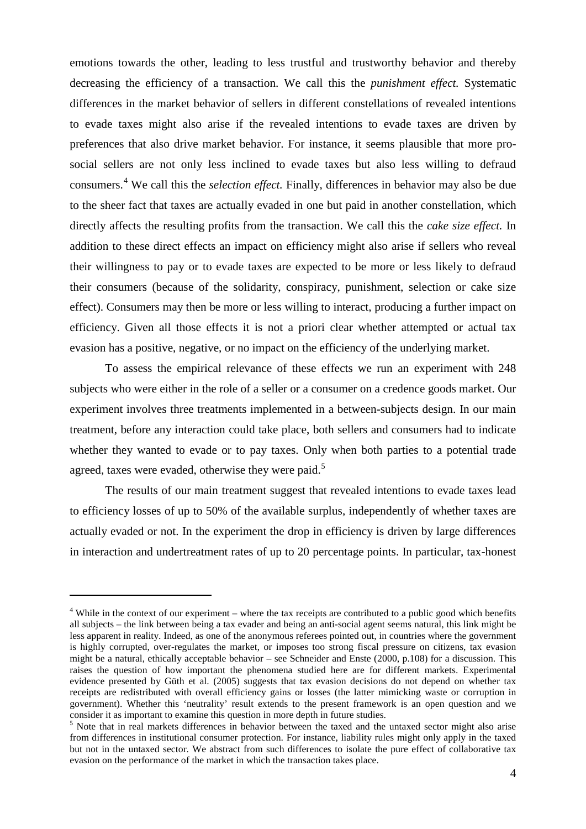emotions towards the other, leading to less trustful and trustworthy behavior and thereby decreasing the efficiency of a transaction. We call this the *punishment effect.* Systematic differences in the market behavior of sellers in different constellations of revealed intentions to evade taxes might also arise if the revealed intentions to evade taxes are driven by preferences that also drive market behavior. For instance, it seems plausible that more prosocial sellers are not only less inclined to evade taxes but also less willing to defraud consumers. [4](#page-4-0) We call this the *selection effect.* Finally, differences in behavior may also be due to the sheer fact that taxes are actually evaded in one but paid in another constellation, which directly affects the resulting profits from the transaction. We call this the *cake size effect.* In addition to these direct effects an impact on efficiency might also arise if sellers who reveal their willingness to pay or to evade taxes are expected to be more or less likely to defraud their consumers (because of the solidarity, conspiracy, punishment, selection or cake size effect). Consumers may then be more or less willing to interact, producing a further impact on efficiency. Given all those effects it is not a priori clear whether attempted or actual tax evasion has a positive, negative, or no impact on the efficiency of the underlying market.

To assess the empirical relevance of these effects we run an experiment with 248 subjects who were either in the role of a seller or a consumer on a credence goods market. Our experiment involves three treatments implemented in a between-subjects design. In our main treatment, before any interaction could take place, both sellers and consumers had to indicate whether they wanted to evade or to pay taxes. Only when both parties to a potential trade agreed, taxes were evaded, otherwise they were paid.<sup>[5](#page-5-0)</sup>

The results of our main treatment suggest that revealed intentions to evade taxes lead to efficiency losses of up to 50% of the available surplus, independently of whether taxes are actually evaded or not. In the experiment the drop in efficiency is driven by large differences in interaction and undertreatment rates of up to 20 percentage points. In particular, tax-honest

<u>.</u>

<sup>4</sup> While in the context of our experiment – where the tax receipts are contributed to a public good which benefits all subjects – the link between being a tax evader and being an anti-social agent seems natural, this link might be less apparent in reality. Indeed, as one of the anonymous referees pointed out, in countries where the government is highly corrupted, over-regulates the market, or imposes too strong fiscal pressure on citizens, tax evasion might be a natural, ethically acceptable behavior – see Schneider and Enste (2000, p.108) for a discussion. This raises the question of how important the phenomena studied here are for different markets. Experimental evidence presented by Güth et al. (2005) suggests that tax evasion decisions do not depend on whether tax receipts are redistributed with overall efficiency gains or losses (the latter mimicking waste or corruption in government). Whether this 'neutrality' result extends to the present framework is an open question and we consider it as important to examine this question in more depth in future studies.

<span id="page-5-1"></span><span id="page-5-0"></span><sup>&</sup>lt;sup>5</sup> Note that in real markets differences in behavior between the taxed and the untaxed sector might also arise from differences in institutional consumer protection. For instance, liability rules might only apply in the taxed but not in the untaxed sector. We abstract from such differences to isolate the pure effect of collaborative tax evasion on the performance of the market in which the transaction takes place.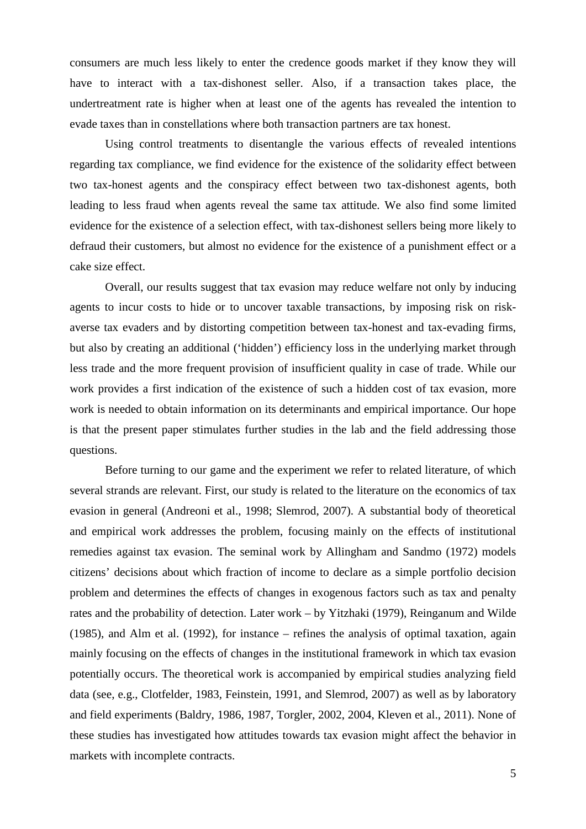consumers are much less likely to enter the credence goods market if they know they will have to interact with a tax-dishonest seller. Also, if a transaction takes place, the undertreatment rate is higher when at least one of the agents has revealed the intention to evade taxes than in constellations where both transaction partners are tax honest.

Using control treatments to disentangle the various effects of revealed intentions regarding tax compliance, we find evidence for the existence of the solidarity effect between two tax-honest agents and the conspiracy effect between two tax-dishonest agents, both leading to less fraud when agents reveal the same tax attitude. We also find some limited evidence for the existence of a selection effect, with tax-dishonest sellers being more likely to defraud their customers, but almost no evidence for the existence of a punishment effect or a cake size effect.

Overall, our results suggest that tax evasion may reduce welfare not only by inducing agents to incur costs to hide or to uncover taxable transactions, by imposing risk on riskaverse tax evaders and by distorting competition between tax-honest and tax-evading firms, but also by creating an additional ('hidden') efficiency loss in the underlying market through less trade and the more frequent provision of insufficient quality in case of trade. While our work provides a first indication of the existence of such a hidden cost of tax evasion, more work is needed to obtain information on its determinants and empirical importance. Our hope is that the present paper stimulates further studies in the lab and the field addressing those questions.

Before turning to our game and the experiment we refer to related literature, of which several strands are relevant. First, our study is related to the literature on the economics of tax evasion in general (Andreoni et al., 1998; Slemrod, 2007). A substantial body of theoretical and empirical work addresses the problem, focusing mainly on the effects of institutional remedies against tax evasion. The seminal work by Allingham and Sandmo (1972) models citizens' decisions about which fraction of income to declare as a simple portfolio decision problem and determines the effects of changes in exogenous factors such as tax and penalty rates and the probability of detection. Later work – by Yitzhaki (1979), Reinganum and Wilde (1985), and Alm et al. (1992), for instance – refines the analysis of optimal taxation, again mainly focusing on the effects of changes in the institutional framework in which tax evasion potentially occurs. The theoretical work is accompanied by empirical studies analyzing field data (see, e.g., Clotfelder, 1983, Feinstein, 1991, and Slemrod, 2007) as well as by laboratory and field experiments (Baldry, 1986, 1987, Torgler, 2002, 2004, Kleven et al., 2011). None of these studies has investigated how attitudes towards tax evasion might affect the behavior in markets with incomplete contracts.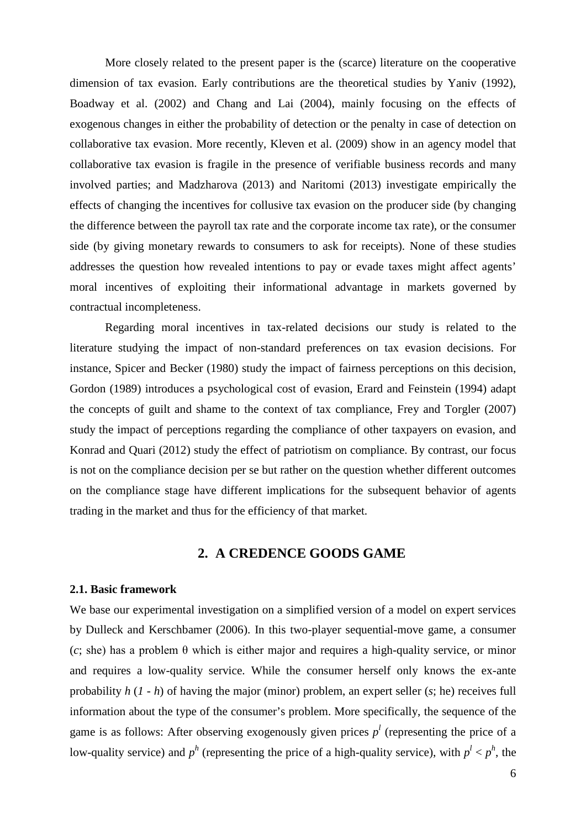More closely related to the present paper is the (scarce) literature on the cooperative dimension of tax evasion. Early contributions are the theoretical studies by Yaniv (1992), Boadway et al. (2002) and Chang and Lai (2004), mainly focusing on the effects of exogenous changes in either the probability of detection or the penalty in case of detection on collaborative tax evasion. More recently, Kleven et al. (2009) show in an agency model that collaborative tax evasion is fragile in the presence of verifiable business records and many involved parties; and Madzharova (2013) and Naritomi (2013) investigate empirically the effects of changing the incentives for collusive tax evasion on the producer side (by changing the difference between the payroll tax rate and the corporate income tax rate), or the consumer side (by giving monetary rewards to consumers to ask for receipts). None of these studies addresses the question how revealed intentions to pay or evade taxes might affect agents' moral incentives of exploiting their informational advantage in markets governed by contractual incompleteness.

Regarding moral incentives in tax-related decisions our study is related to the literature studying the impact of non-standard preferences on tax evasion decisions. For instance, Spicer and Becker (1980) study the impact of fairness perceptions on this decision, Gordon (1989) introduces a psychological cost of evasion, Erard and Feinstein (1994) adapt the concepts of guilt and shame to the context of tax compliance, Frey and Torgler (2007) study the impact of perceptions regarding the compliance of other taxpayers on evasion, and Konrad and Quari (2012) study the effect of patriotism on compliance. By contrast, our focus is not on the compliance decision per se but rather on the question whether different outcomes on the compliance stage have different implications for the subsequent behavior of agents trading in the market and thus for the efficiency of that market.

## **2. A CREDENCE GOODS GAME**

### **2.1. Basic framework**

We base our experimental investigation on a simplified version of a model on expert services by Dulleck and Kerschbamer (2006). In this two-player sequential-move game, a consumer (*c*; she) has a problem  $\theta$  which is either major and requires a high-quality service, or minor and requires a low-quality service. While the consumer herself only knows the ex-ante probability *h* (*1 - h*) of having the major (minor) problem, an expert seller (*s*; he) receives full information about the type of the consumer's problem. More specifically, the sequence of the game is as follows: After observing exogenously given prices  $p<sup>l</sup>$  (representing the price of a low-quality service) and  $p^h$  (representing the price of a high-quality service), with  $p^l < p^h$ , the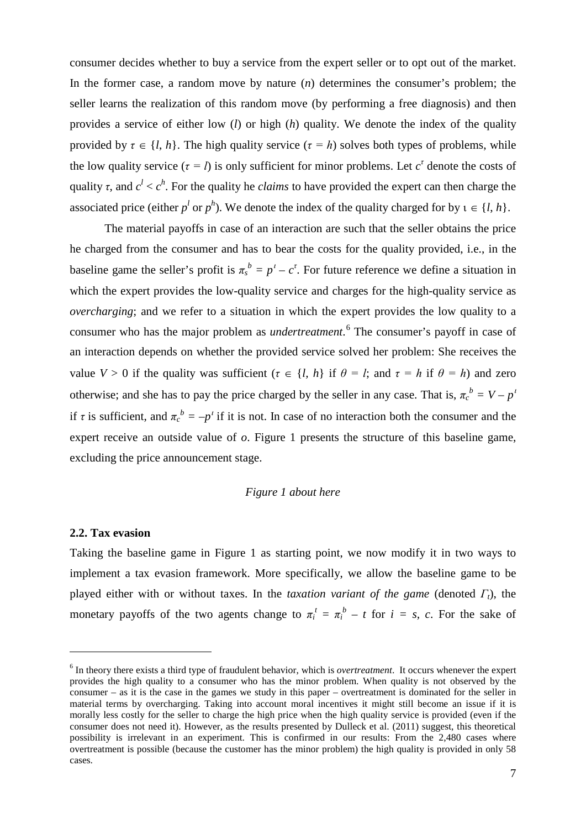consumer decides whether to buy a service from the expert seller or to opt out of the market. In the former case, a random move by nature (*n*) determines the consumer's problem; the seller learns the realization of this random move (by performing a free diagnosis) and then provides a service of either low (*l*) or high (*h*) quality. We denote the index of the quality provided by  $\tau \in \{l, h\}$ . The high quality service  $(\tau = h)$  solves both types of problems, while the low quality service  $(\tau = l)$  is only sufficient for minor problems. Let  $c^{\tau}$  denote the costs of quality  $\tau$ , and  $c^l < c^h$ . For the quality he *claims* to have provided the expert can then charge the associated price (either  $p^l$  or  $p^h$ ). We denote the index of the quality charged for by  $\iota \in \{l, h\}$ .

The material payoffs in case of an interaction are such that the seller obtains the price he charged from the consumer and has to bear the costs for the quality provided, i.e., in the baseline game the seller's profit is  $\pi_s^b = p^t - c^{\tau}$ . For future reference we define a situation in which the expert provides the low-quality service and charges for the high-quality service as *overcharging*; and we refer to a situation in which the expert provides the low quality to a consumer who has the major problem as *undertreatment*. [6](#page-5-1) The consumer's payoff in case of an interaction depends on whether the provided service solved her problem: She receives the value  $V > 0$  if the quality was sufficient ( $\tau \in \{l, h\}$  if  $\theta = l$ ; and  $\tau = h$  if  $\theta = h$ ) and zero otherwise; and she has to pay the price charged by the seller in any case. That is,  $\pi_c^b = V - p^t$ if  $\tau$  is sufficient, and  $\pi_c^b = -p^t$  if it is not. In case of no interaction both the consumer and the expert receive an outside value of *o*. Figure 1 presents the structure of this baseline game, excluding the price announcement stage.

#### *Figure 1 about here*

#### **2.2. Tax evasion**

-

Taking the baseline game in Figure 1 as starting point, we now modify it in two ways to implement a tax evasion framework. More specifically, we allow the baseline game to be played either with or without taxes. In the *taxation variant of the game* (denoted *Γt*), the monetary payoffs of the two agents change to  $\pi_i^t = \pi_i^b - t$  for  $i = s$ , c. For the sake of

<span id="page-8-0"></span><sup>6</sup> In theory there exists a third type of fraudulent behavior, which is *overtreatment*. It occurs whenever the expert provides the high quality to a consumer who has the minor problem. When quality is not observed by the consumer – as it is the case in the games we study in this paper – overtreatment is dominated for the seller in material terms by overcharging. Taking into account moral incentives it might still become an issue if it is morally less costly for the seller to charge the high price when the high quality service is provided (even if the consumer does not need it). However, as the results presented by Dulleck et al. (2011) suggest, this theoretical possibility is irrelevant in an experiment. This is confirmed in our results: From the 2,480 cases where overtreatment is possible (because the customer has the minor problem) the high quality is provided in only 58 cases.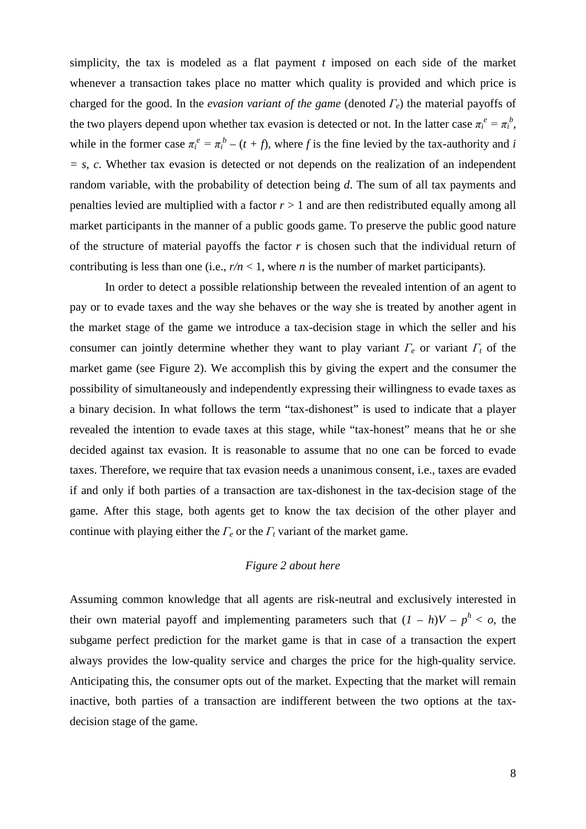simplicity, the tax is modeled as a flat payment *t* imposed on each side of the market whenever a transaction takes place no matter which quality is provided and which price is charged for the good. In the *evasion variant of the game* (denoted *Γe*) the material payoffs of the two players depend upon whether tax evasion is detected or not. In the latter case  $\pi_i^e = \pi_i^b$ , while in the former case  $\pi_i^e = \pi_i^b - (t + f)$ , where *f* is the fine levied by the tax-authority and *i = s, c*. Whether tax evasion is detected or not depends on the realization of an independent random variable, with the probability of detection being *d*. The sum of all tax payments and penalties levied are multiplied with a factor  $r > 1$  and are then redistributed equally among all market participants in the manner of a public goods game. To preserve the public good nature of the structure of material payoffs the factor *r* is chosen such that the individual return of contributing is less than one (i.e.,  $r/n < 1$ , where *n* is the number of market participants).

In order to detect a possible relationship between the revealed intention of an agent to pay or to evade taxes and the way she behaves or the way she is treated by another agent in the market stage of the game we introduce a tax-decision stage in which the seller and his consumer can jointly determine whether they want to play variant *Γ<sup>e</sup>* or variant *Γ<sup>t</sup>* of the market game (see Figure 2). We accomplish this by giving the expert and the consumer the possibility of simultaneously and independently expressing their willingness to evade taxes as a binary decision. In what follows the term "tax-dishonest" is used to indicate that a player revealed the intention to evade taxes at this stage, while "tax-honest" means that he or she decided against tax evasion. It is reasonable to assume that no one can be forced to evade taxes. Therefore, we require that tax evasion needs a unanimous consent, i.e., taxes are evaded if and only if both parties of a transaction are tax-dishonest in the tax-decision stage of the game. After this stage, both agents get to know the tax decision of the other player and continue with playing either the  $\Gamma_e$  or the  $\Gamma_t$  variant of the market game.

#### *Figure 2 about here*

Assuming common knowledge that all agents are risk-neutral and exclusively interested in their own material payoff and implementing parameters such that  $(I - h)V - p^h < o$ , the subgame perfect prediction for the market game is that in case of a transaction the expert always provides the low-quality service and charges the price for the high-quality service. Anticipating this, the consumer opts out of the market. Expecting that the market will remain inactive, both parties of a transaction are indifferent between the two options at the taxdecision stage of the game.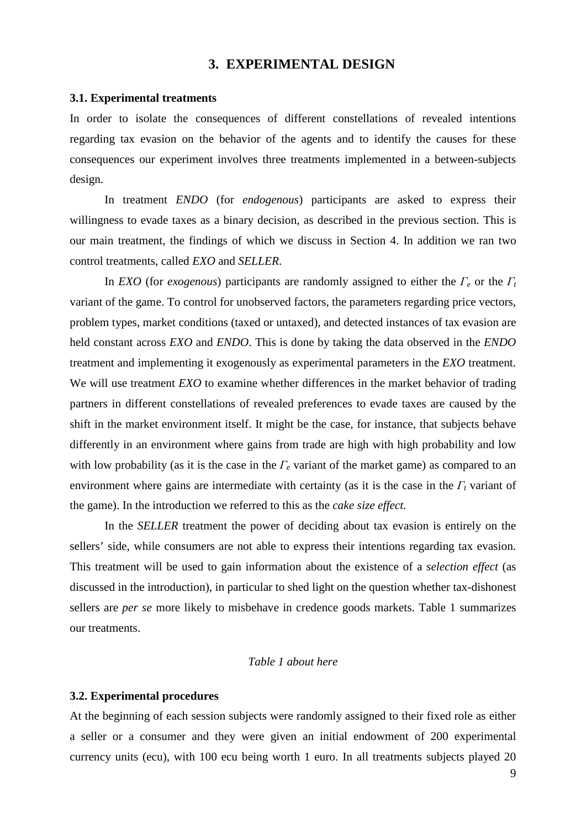#### **3. EXPERIMENTAL DESIGN**

#### **3.1. Experimental treatments**

In order to isolate the consequences of different constellations of revealed intentions regarding tax evasion on the behavior of the agents and to identify the causes for these consequences our experiment involves three treatments implemented in a between-subjects design.

In treatment *ENDO* (for *endogenous*) participants are asked to express their willingness to evade taxes as a binary decision, as described in the previous section. This is our main treatment, the findings of which we discuss in Section 4. In addition we ran two control treatments, called *EXO* and *SELLER*.

In *EXO* (for *exogenous*) participants are randomly assigned to either the *Γ<sup>e</sup>* or the *Γ<sup>t</sup>* variant of the game. To control for unobserved factors, the parameters regarding price vectors, problem types, market conditions (taxed or untaxed), and detected instances of tax evasion are held constant across *EXO* and *ENDO*. This is done by taking the data observed in the *ENDO* treatment and implementing it exogenously as experimental parameters in the *EXO* treatment. We will use treatment *EXO* to examine whether differences in the market behavior of trading partners in different constellations of revealed preferences to evade taxes are caused by the shift in the market environment itself. It might be the case, for instance, that subjects behave differently in an environment where gains from trade are high with high probability and low with low probability (as it is the case in the *Γ<sup>e</sup>* variant of the market game) as compared to an environment where gains are intermediate with certainty (as it is the case in the *Γ<sup>t</sup>* variant of the game). In the introduction we referred to this as the *cake size effect.*

In the *SELLER* treatment the power of deciding about tax evasion is entirely on the sellers' side, while consumers are not able to express their intentions regarding tax evasion. This treatment will be used to gain information about the existence of a *selection effect* (as discussed in the introduction), in particular to shed light on the question whether tax-dishonest sellers are *per se* more likely to misbehave in credence goods markets. Table 1 summarizes our treatments.

#### *Table 1 about here*

#### **3.2. Experimental procedures**

At the beginning of each session subjects were randomly assigned to their fixed role as either a seller or a consumer and they were given an initial endowment of 200 experimental currency units (ecu), with 100 ecu being worth 1 euro. In all treatments subjects played 20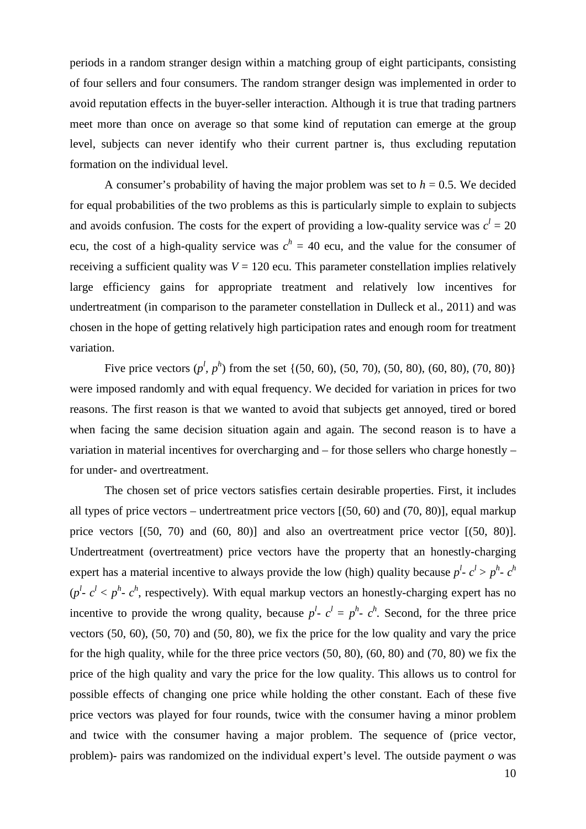periods in a random stranger design within a matching group of eight participants, consisting of four sellers and four consumers. The random stranger design was implemented in order to avoid reputation effects in the buyer-seller interaction. Although it is true that trading partners meet more than once on average so that some kind of reputation can emerge at the group level, subjects can never identify who their current partner is, thus excluding reputation formation on the individual level.

A consumer's probability of having the major problem was set to  $h = 0.5$ . We decided for equal probabilities of the two problems as this is particularly simple to explain to subjects and avoids confusion. The costs for the expert of providing a low-quality service was  $c^{\prime} = 20$ ecu, the cost of a high-quality service was  $c^h = 40$  ecu, and the value for the consumer of receiving a sufficient quality was  $V = 120$  ecu. This parameter constellation implies relatively large efficiency gains for appropriate treatment and relatively low incentives for undertreatment (in comparison to the parameter constellation in Dulleck et al., 2011) and was chosen in the hope of getting relatively high participation rates and enough room for treatment variation.

Five price vectors  $(p^l, p^h)$  from the set {(50, 60), (50, 70), (50, 80), (60, 80), (70, 80)} were imposed randomly and with equal frequency. We decided for variation in prices for two reasons. The first reason is that we wanted to avoid that subjects get annoyed, tired or bored when facing the same decision situation again and again. The second reason is to have a variation in material incentives for overcharging and – for those sellers who charge honestly – for under- and overtreatment.

The chosen set of price vectors satisfies certain desirable properties. First, it includes all types of price vectors – undertreatment price vectors [(50, 60) and (70, 80)], equal markup price vectors  $[(50, 70)$  and  $(60, 80)]$  and also an overtreatment price vector  $[(50, 80)]$ . Undertreatment (overtreatment) price vectors have the property that an honestly-charging expert has a material incentive to always provide the low (high) quality because  $p^l$ -  $c^l > p^h$ -  $c^h$  $(p^l \cdot c^l < p^h \cdot c^h$ , respectively). With equal markup vectors an honestly-charging expert has no incentive to provide the wrong quality, because  $p^l$ -  $c^l = p^h$ -  $c^h$ . Second, for the three price vectors (50, 60), (50, 70) and (50, 80), we fix the price for the low quality and vary the price for the high quality, while for the three price vectors (50, 80), (60, 80) and (70, 80) we fix the price of the high quality and vary the price for the low quality. This allows us to control for possible effects of changing one price while holding the other constant. Each of these five price vectors was played for four rounds, twice with the consumer having a minor problem and twice with the consumer having a major problem. The sequence of (price vector, problem)- pairs was randomized on the individual expert's level. The outside payment *o* was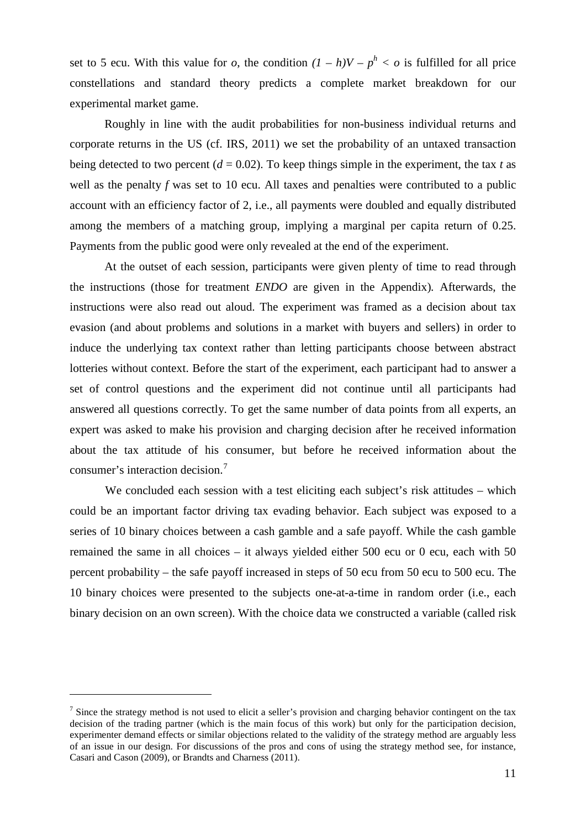set to 5 ecu. With this value for *o*, the condition  $(1 - h)V - p^h < o$  is fulfilled for all price constellations and standard theory predicts a complete market breakdown for our experimental market game.

Roughly in line with the audit probabilities for non-business individual returns and corporate returns in the US (cf. IRS, 2011) we set the probability of an untaxed transaction being detected to two percent  $(d = 0.02)$ . To keep things simple in the experiment, the tax *t* as well as the penalty *f* was set to 10 ecu. All taxes and penalties were contributed to a public account with an efficiency factor of 2, i.e., all payments were doubled and equally distributed among the members of a matching group, implying a marginal per capita return of 0.25. Payments from the public good were only revealed at the end of the experiment.

At the outset of each session, participants were given plenty of time to read through the instructions (those for treatment *ENDO* are given in the Appendix)*.* Afterwards, the instructions were also read out aloud. The experiment was framed as a decision about tax evasion (and about problems and solutions in a market with buyers and sellers) in order to induce the underlying tax context rather than letting participants choose between abstract lotteries without context. Before the start of the experiment, each participant had to answer a set of control questions and the experiment did not continue until all participants had answered all questions correctly. To get the same number of data points from all experts, an expert was asked to make his provision and charging decision after he received information about the tax attitude of his consumer, but before he received information about the consumer's interaction decision.[7](#page-8-0)

We concluded each session with a test eliciting each subject's risk attitudes – which could be an important factor driving tax evading behavior. Each subject was exposed to a series of 10 binary choices between a cash gamble and a safe payoff. While the cash gamble remained the same in all choices – it always yielded either 500 ecu or 0 ecu, each with 50 percent probability – the safe payoff increased in steps of 50 ecu from 50 ecu to 500 ecu. The 10 binary choices were presented to the subjects one-at-a-time in random order (i.e., each binary decision on an own screen). With the choice data we constructed a variable (called risk

<span id="page-12-0"></span><u>.</u>

 $<sup>7</sup>$  Since the strategy method is not used to elicit a seller's provision and charging behavior contingent on the tax</sup> decision of the trading partner (which is the main focus of this work) but only for the participation decision, experimenter demand effects or similar objections related to the validity of the strategy method are arguably less of an issue in our design. For discussions of the pros and cons of using the strategy method see, for instance, Casari and Cason (2009), or Brandts and Charness (2011).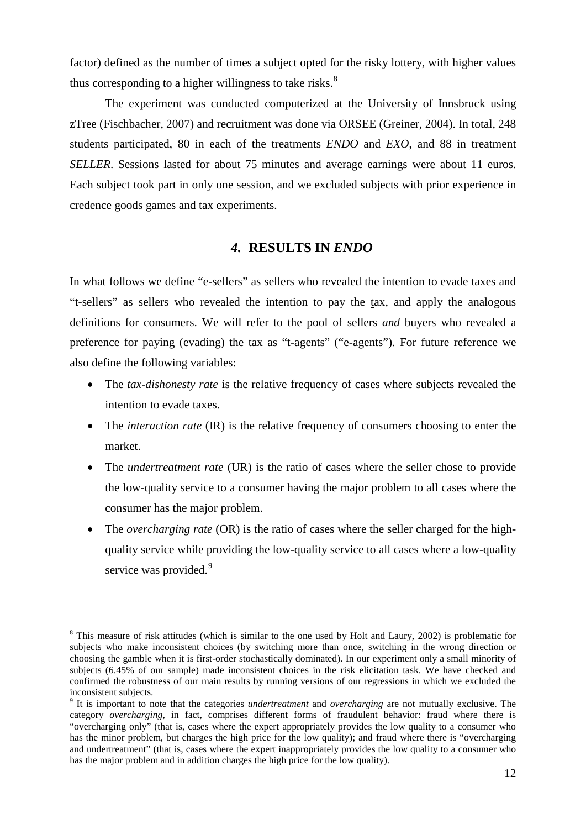factor) defined as the number of times a subject opted for the risky lottery, with higher values thus corresponding to a higher willingness to take risks. $8<sup>8</sup>$  $8<sup>8</sup>$ 

The experiment was conducted computerized at the University of Innsbruck using zTree (Fischbacher, 2007) and recruitment was done via ORSEE (Greiner, 2004). In total, 248 students participated, 80 in each of the treatments *ENDO* and *EXO*, and 88 in treatment *SELLER*. Sessions lasted for about 75 minutes and average earnings were about 11 euros. Each subject took part in only one session, and we excluded subjects with prior experience in credence goods games and tax experiments.

### *4.* **RESULTS IN** *ENDO*

In what follows we define "e-sellers" as sellers who revealed the intention to evade taxes and "t-sellers" as sellers who revealed the intention to pay the tax, and apply the analogous definitions for consumers. We will refer to the pool of sellers *and* buyers who revealed a preference for paying (evading) the tax as "t-agents" ("e-agents"). For future reference we also define the following variables:

- The *tax-dishonesty rate* is the relative frequency of cases where subjects revealed the intention to evade taxes.
- The *interaction rate* (IR) is the relative frequency of consumers choosing to enter the market.
- The *undertreatment rate* (UR) is the ratio of cases where the seller chose to provide the low-quality service to a consumer having the major problem to all cases where the consumer has the major problem.
- The *overcharging rate* (OR) is the ratio of cases where the seller charged for the highquality service while providing the low-quality service to all cases where a low-quality service was provided.<sup>[9](#page-13-0)</sup>

-

<span id="page-13-1"></span><sup>&</sup>lt;sup>8</sup> This measure of risk attitudes (which is similar to the one used by Holt and Laury, 2002) is problematic for subjects who make inconsistent choices (by switching more than once, switching in the wrong direction or choosing the gamble when it is first-order stochastically dominated). In our experiment only a small minority of subjects (6.45% of our sample) made inconsistent choices in the risk elicitation task. We have checked and confirmed the robustness of our main results by running versions of our regressions in which we excluded the inconsistent subjects.

<span id="page-13-0"></span><sup>9</sup> It is important to note that the categories *undertreatment* and *overcharging* are not mutually exclusive. The category *overcharging,* in fact, comprises different forms of fraudulent behavior: fraud where there is "overcharging only" (that is, cases where the expert appropriately provides the low quality to a consumer who has the minor problem, but charges the high price for the low quality); and fraud where there is "overcharging and undertreatment" (that is, cases where the expert inappropriately provides the low quality to a consumer who has the major problem and in addition charges the high price for the low quality).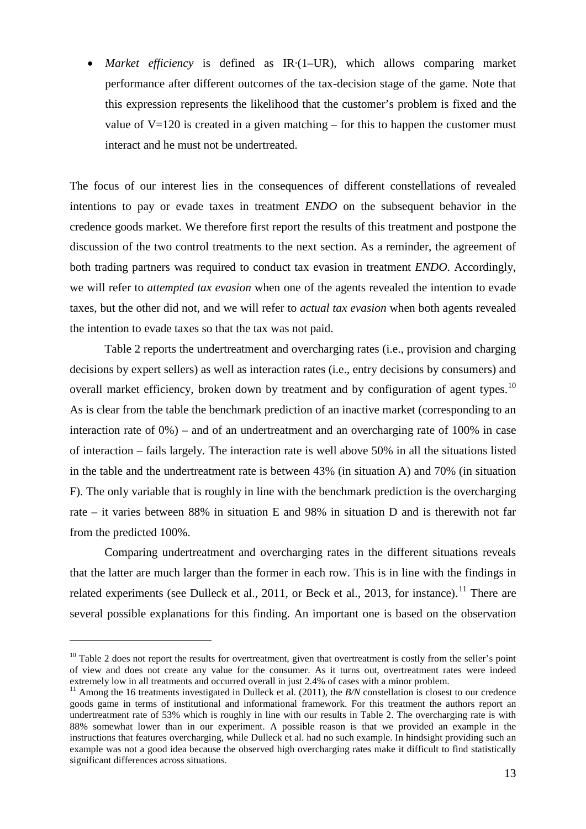• *Market efficiency* is defined as IR∙(1*–*UR), which allows comparing market performance after different outcomes of the tax-decision stage of the game. Note that this expression represents the likelihood that the customer's problem is fixed and the value of  $V=120$  is created in a given matching – for this to happen the customer must interact and he must not be undertreated.

The focus of our interest lies in the consequences of different constellations of revealed intentions to pay or evade taxes in treatment *ENDO* on the subsequent behavior in the credence goods market. We therefore first report the results of this treatment and postpone the discussion of the two control treatments to the next section. As a reminder, the agreement of both trading partners was required to conduct tax evasion in treatment *ENDO*. Accordingly, we will refer to *attempted tax evasion* when one of the agents revealed the intention to evade taxes, but the other did not, and we will refer to *actual tax evasion* when both agents revealed the intention to evade taxes so that the tax was not paid.

Table 2 reports the undertreatment and overcharging rates (i.e., provision and charging decisions by expert sellers) as well as interaction rates (i.e., entry decisions by consumers) and overall market efficiency, broken down by treatment and by configuration of agent types.<sup>[10](#page-13-1)</sup> As is clear from the table the benchmark prediction of an inactive market (corresponding to an interaction rate of 0%) – and of an undertreatment and an overcharging rate of 100% in case of interaction – fails largely. The interaction rate is well above 50% in all the situations listed in the table and the undertreatment rate is between 43% (in situation A) and 70% (in situation F). The only variable that is roughly in line with the benchmark prediction is the overcharging rate – it varies between 88% in situation E and 98% in situation D and is therewith not far from the predicted 100%.

Comparing undertreatment and overcharging rates in the different situations reveals that the latter are much larger than the former in each row. This is in line with the findings in related experiments (see Dulleck et al., 20[11](#page-14-0), or Beck et al., 2013, for instance).<sup>11</sup> There are several possible explanations for this finding. An important one is based on the observation

-

 $10$  Table 2 does not report the results for overtreatment, given that overtreatment is costly from the seller's point of view and does not create any value for the consumer. As it turns out, overtreatment rates were indeed extremely low in all treatments and occurred overall in just 2.4% of cases with a minor problem.

<span id="page-14-1"></span><span id="page-14-0"></span><sup>&</sup>lt;sup>11</sup> Among the 16 treatments investigated in Dulleck et al. (2011), the *B/N* constellation is closest to our credence goods game in terms of institutional and informational framework. For this treatment the authors report an undertreatment rate of 53% which is roughly in line with our results in Table 2. The overcharging rate is with 88% somewhat lower than in our experiment. A possible reason is that we provided an example in the instructions that features overcharging, while Dulleck et al. had no such example. In hindsight providing such an example was not a good idea because the observed high overcharging rates make it difficult to find statistically significant differences across situations.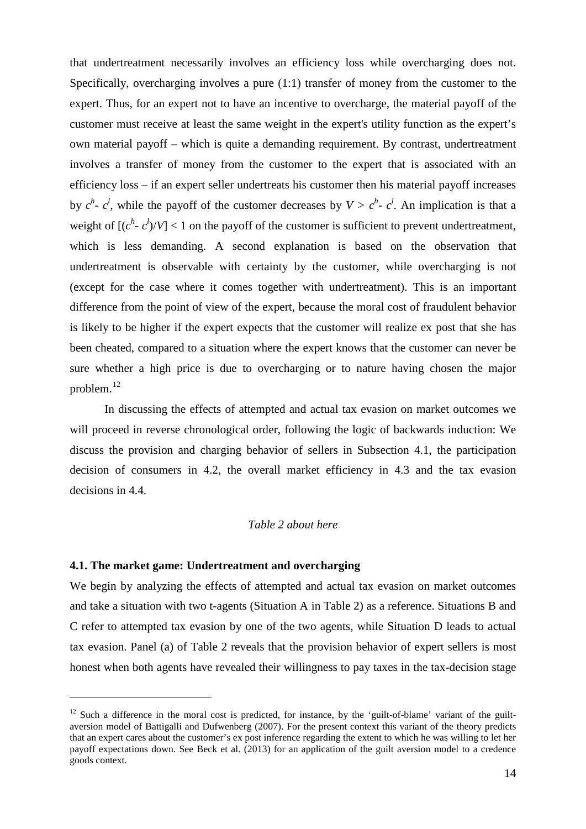that undertreatment necessarily involves an efficiency loss while overcharging does not. Specifically, overcharging involves a pure (1:1) transfer of money from the customer to the expert. Thus, for an expert not to have an incentive to overcharge, the material payoff of the customer must receive at least the same weight in the expert's utility function as the expert's own material payoff – which is quite a demanding requirement. By contrast, undertreatment involves a transfer of money from the customer to the expert that is associated with an efficiency loss – if an expert seller undertreats his customer then his material payoff increases by  $c^h$ -  $c^l$ , while the payoff of the customer decreases by  $V > c^h$ -  $c^l$ . An implication is that a weight of  $[(c^h \cdot c^l)/V]$  < 1 on the payoff of the customer is sufficient to prevent undertreatment, which is less demanding. A second explanation is based on the observation that undertreatment is observable with certainty by the customer, while overcharging is not (except for the case where it comes together with undertreatment). This is an important difference from the point of view of the expert, because the moral cost of fraudulent behavior is likely to be higher if the expert expects that the customer will realize ex post that she has been cheated, compared to a situation where the expert knows that the customer can never be sure whether a high price is due to overcharging or to nature having chosen the major problem. [12](#page-14-1)

In discussing the effects of attempted and actual tax evasion on market outcomes we will proceed in reverse chronological order, following the logic of backwards induction: We discuss the provision and charging behavior of sellers in Subsection 4.1, the participation decision of consumers in 4.2, the overall market efficiency in 4.3 and the tax evasion decisions in 4.4.

#### *Table 2 about here*

#### **4.1. The market game: Undertreatment and overcharging**

<u>.</u>

We begin by analyzing the effects of attempted and actual tax evasion on market outcomes and take a situation with two t-agents (Situation A in Table 2) as a reference. Situations B and C refer to attempted tax evasion by one of the two agents, while Situation D leads to actual tax evasion. Panel (a) of Table 2 reveals that the provision behavior of expert sellers is most honest when both agents have revealed their willingness to pay taxes in the tax-decision stage

<span id="page-15-0"></span> $12$  Such a difference in the moral cost is predicted, for instance, by the 'guilt-of-blame' variant of the guiltaversion model of Battigalli and Dufwenberg (2007). For the present context this variant of the theory predicts that an expert cares about the customer's ex post inference regarding the extent to which he was willing to let her payoff expectations down. See Beck et al. (2013) for an application of the guilt aversion model to a credence goods context.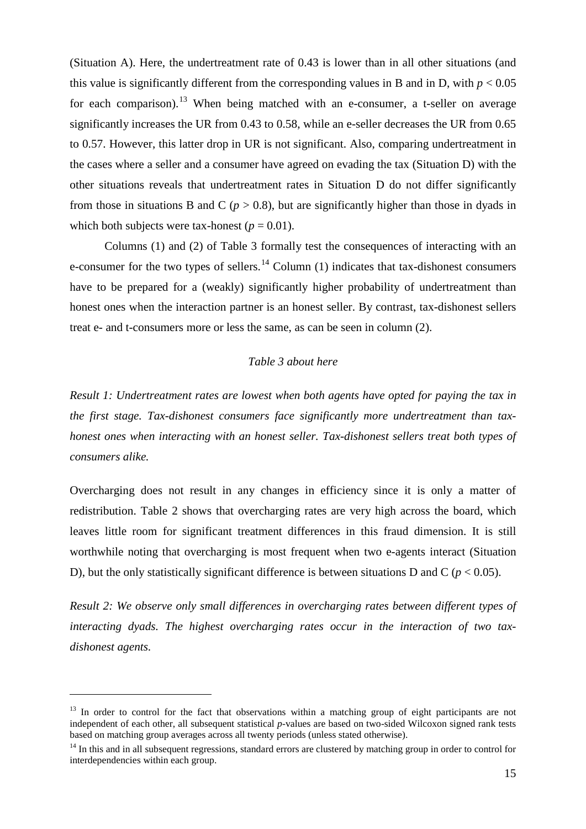(Situation A). Here, the undertreatment rate of 0.43 is lower than in all other situations (and this value is significantly different from the corresponding values in B and in D, with  $p < 0.05$ for each comparison).<sup>[13](#page-15-0)</sup> When being matched with an e-consumer, a t-seller on average significantly increases the UR from 0.43 to 0.58, while an e-seller decreases the UR from 0.65 to 0.57. However, this latter drop in UR is not significant. Also, comparing undertreatment in the cases where a seller and a consumer have agreed on evading the tax (Situation D) with the other situations reveals that undertreatment rates in Situation D do not differ significantly from those in situations B and C ( $p > 0.8$ ), but are significantly higher than those in dyads in which both subjects were tax-honest  $(p = 0.01)$ .

Columns (1) and (2) of Table 3 formally test the consequences of interacting with an e-consumer for the two types of sellers.<sup>[14](#page-16-0)</sup> Column (1) indicates that tax-dishonest consumers have to be prepared for a (weakly) significantly higher probability of undertreatment than honest ones when the interaction partner is an honest seller. By contrast, tax-dishonest sellers treat e- and t-consumers more or less the same, as can be seen in column (2).

### *Table 3 about here*

*Result 1: Undertreatment rates are lowest when both agents have opted for paying the tax in the first stage. Tax-dishonest consumers face significantly more undertreatment than taxhonest ones when interacting with an honest seller. Tax-dishonest sellers treat both types of consumers alike.*

Overcharging does not result in any changes in efficiency since it is only a matter of redistribution. Table 2 shows that overcharging rates are very high across the board, which leaves little room for significant treatment differences in this fraud dimension. It is still worthwhile noting that overcharging is most frequent when two e-agents interact (Situation D), but the only statistically significant difference is between situations D and C ( $p < 0.05$ ).

*Result 2: We observe only small differences in overcharging rates between different types of interacting dyads. The highest overcharging rates occur in the interaction of two taxdishonest agents.*

<u>.</u>

<sup>&</sup>lt;sup>13</sup> In order to control for the fact that observations within a matching group of eight participants are not independent of each other, all subsequent statistical *p*-values are based on two-sided Wilcoxon signed rank tests based on matching group averages across all twenty periods (unless stated otherwise).

<span id="page-16-1"></span><span id="page-16-0"></span> $14$  In this and in all subsequent regressions, standard errors are clustered by matching group in order to control for interdependencies within each group.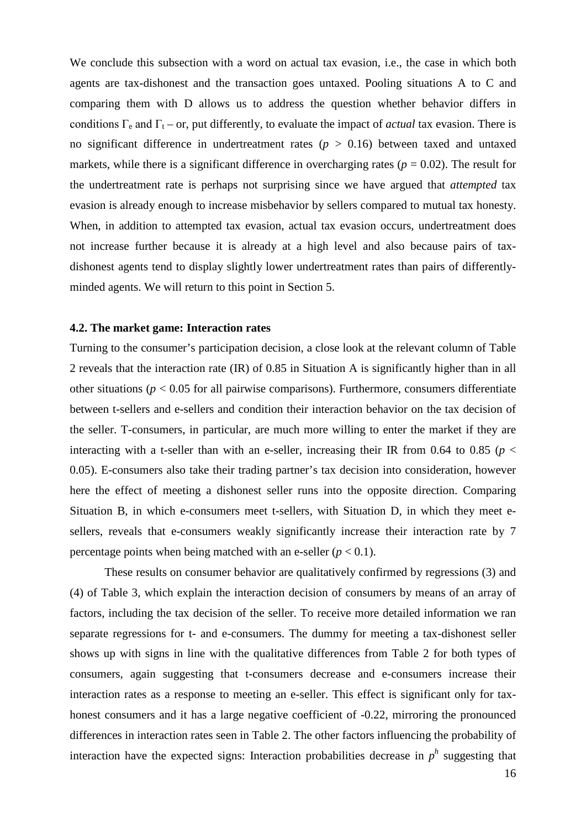We conclude this subsection with a word on actual tax evasion, *i.e.*, the case in which both agents are tax-dishonest and the transaction goes untaxed. Pooling situations A to C and comparing them with D allows us to address the question whether behavior differs in conditions  $\Gamma_e$  and  $\Gamma_t$  – or, put differently, to evaluate the impact of *actual* tax evasion. There is no significant difference in undertreatment rates  $(p > 0.16)$  between taxed and untaxed markets, while there is a significant difference in overcharging rates  $(p = 0.02)$ . The result for the undertreatment rate is perhaps not surprising since we have argued that *attempted* tax evasion is already enough to increase misbehavior by sellers compared to mutual tax honesty. When, in addition to attempted tax evasion, actual tax evasion occurs, undertreatment does not increase further because it is already at a high level and also because pairs of taxdishonest agents tend to display slightly lower undertreatment rates than pairs of differentlyminded agents. We will return to this point in Section 5.

#### **4.2. The market game: Interaction rates**

Turning to the consumer's participation decision, a close look at the relevant column of Table 2 reveals that the interaction rate (IR) of 0.85 in Situation A is significantly higher than in all other situations ( $p < 0.05$  for all pairwise comparisons). Furthermore, consumers differentiate between t-sellers and e-sellers and condition their interaction behavior on the tax decision of the seller. T-consumers, in particular, are much more willing to enter the market if they are interacting with a t-seller than with an e-seller, increasing their IR from 0.64 to 0.85 ( $p <$ 0.05). E-consumers also take their trading partner's tax decision into consideration, however here the effect of meeting a dishonest seller runs into the opposite direction. Comparing Situation B, in which e-consumers meet t-sellers, with Situation D, in which they meet esellers, reveals that e-consumers weakly significantly increase their interaction rate by 7 percentage points when being matched with an e-seller  $(p < 0.1)$ .

These results on consumer behavior are qualitatively confirmed by regressions (3) and (4) of Table 3, which explain the interaction decision of consumers by means of an array of factors, including the tax decision of the seller. To receive more detailed information we ran separate regressions for t- and e-consumers. The dummy for meeting a tax-dishonest seller shows up with signs in line with the qualitative differences from Table 2 for both types of consumers, again suggesting that t-consumers decrease and e-consumers increase their interaction rates as a response to meeting an e-seller. This effect is significant only for taxhonest consumers and it has a large negative coefficient of -0.22, mirroring the pronounced differences in interaction rates seen in Table 2. The other factors influencing the probability of interaction have the expected signs: Interaction probabilities decrease in  $p<sup>h</sup>$  suggesting that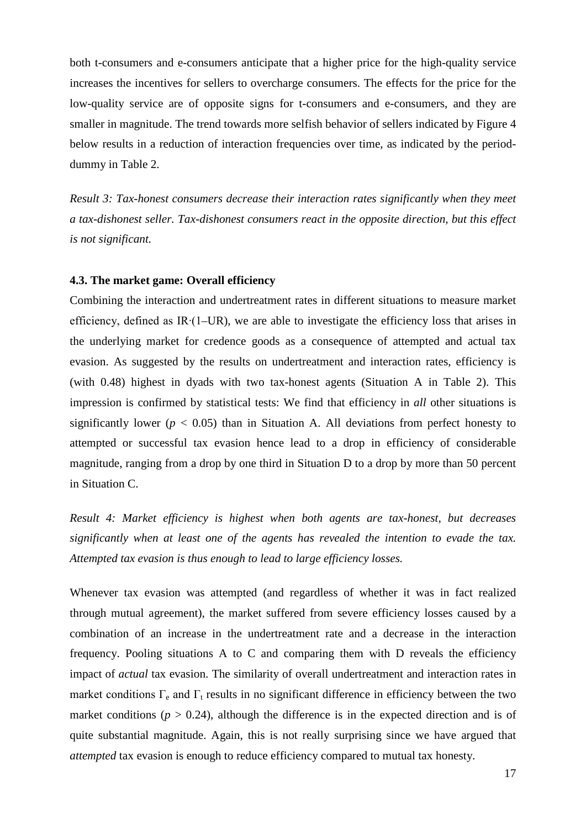both t-consumers and e-consumers anticipate that a higher price for the high-quality service increases the incentives for sellers to overcharge consumers. The effects for the price for the low-quality service are of opposite signs for t-consumers and e-consumers, and they are smaller in magnitude. The trend towards more selfish behavior of sellers indicated by Figure 4 below results in a reduction of interaction frequencies over time, as indicated by the perioddummy in Table 2.

*Result 3: Tax-honest consumers decrease their interaction rates significantly when they meet a tax-dishonest seller. Tax-dishonest consumers react in the opposite direction, but this effect is not significant.*

#### **4.3. The market game: Overall efficiency**

Combining the interaction and undertreatment rates in different situations to measure market efficiency, defined as IR∙(1*–*UR), we are able to investigate the efficiency loss that arises in the underlying market for credence goods as a consequence of attempted and actual tax evasion. As suggested by the results on undertreatment and interaction rates, efficiency is (with 0.48) highest in dyads with two tax-honest agents (Situation A in Table 2). This impression is confirmed by statistical tests: We find that efficiency in *all* other situations is significantly lower ( $p < 0.05$ ) than in Situation A. All deviations from perfect honesty to attempted or successful tax evasion hence lead to a drop in efficiency of considerable magnitude, ranging from a drop by one third in Situation D to a drop by more than 50 percent in Situation C.

*Result 4: Market efficiency is highest when both agents are tax-honest, but decreases significantly when at least one of the agents has revealed the intention to evade the tax. Attempted tax evasion is thus enough to lead to large efficiency losses.*

Whenever tax evasion was attempted (and regardless of whether it was in fact realized through mutual agreement), the market suffered from severe efficiency losses caused by a combination of an increase in the undertreatment rate and a decrease in the interaction frequency. Pooling situations A to C and comparing them with D reveals the efficiency impact of *actual* tax evasion. The similarity of overall undertreatment and interaction rates in market conditions  $\Gamma_e$  and  $\Gamma_t$  results in no significant difference in efficiency between the two market conditions ( $p > 0.24$ ), although the difference is in the expected direction and is of quite substantial magnitude. Again, this is not really surprising since we have argued that *attempted* tax evasion is enough to reduce efficiency compared to mutual tax honesty.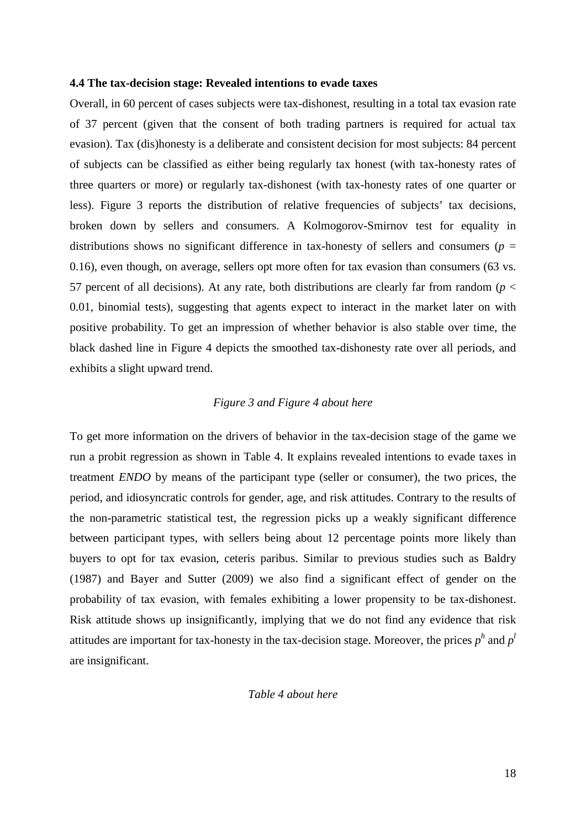#### **4.4 The tax-decision stage: Revealed intentions to evade taxes**

Overall, in 60 percent of cases subjects were tax-dishonest, resulting in a total tax evasion rate of 37 percent (given that the consent of both trading partners is required for actual tax evasion). Tax (dis)honesty is a deliberate and consistent decision for most subjects: 84 percent of subjects can be classified as either being regularly tax honest (with tax-honesty rates of three quarters or more) or regularly tax-dishonest (with tax-honesty rates of one quarter or less). Figure 3 reports the distribution of relative frequencies of subjects' tax decisions, broken down by sellers and consumers. A Kolmogorov-Smirnov test for equality in distributions shows no significant difference in tax-honesty of sellers and consumers ( $p =$ 0.16), even though, on average, sellers opt more often for tax evasion than consumers (63 vs. 57 percent of all decisions). At any rate, both distributions are clearly far from random ( $p <$ 0.01, binomial tests), suggesting that agents expect to interact in the market later on with positive probability. To get an impression of whether behavior is also stable over time, the black dashed line in Figure 4 depicts the smoothed tax-dishonesty rate over all periods, and exhibits a slight upward trend.

#### *Figure 3 and Figure 4 about here*

To get more information on the drivers of behavior in the tax-decision stage of the game we run a probit regression as shown in Table 4. It explains revealed intentions to evade taxes in treatment *ENDO* by means of the participant type (seller or consumer), the two prices, the period, and idiosyncratic controls for gender, age, and risk attitudes. Contrary to the results of the non-parametric statistical test, the regression picks up a weakly significant difference between participant types, with sellers being about 12 percentage points more likely than buyers to opt for tax evasion, ceteris paribus. Similar to previous studies such as Baldry (1987) and Bayer and Sutter (2009) we also find a significant effect of gender on the probability of tax evasion, with females exhibiting a lower propensity to be tax-dishonest. Risk attitude shows up insignificantly, implying that we do not find any evidence that risk attitudes are important for tax-honesty in the tax-decision stage. Moreover, the prices  $p^h$  and  $p^l$ are insignificant.

#### *Table 4 about here*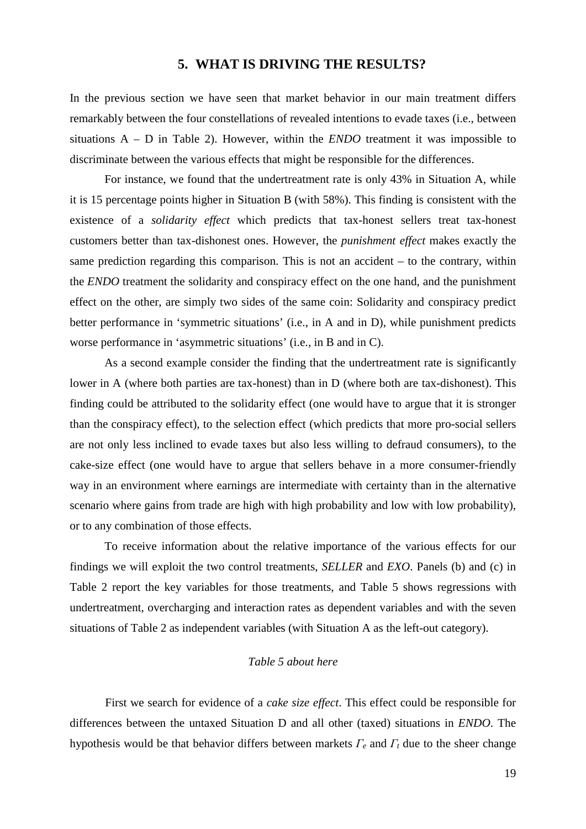### **5. WHAT IS DRIVING THE RESULTS?**

In the previous section we have seen that market behavior in our main treatment differs remarkably between the four constellations of revealed intentions to evade taxes (i.e., between situations  $A - D$  in Table 2). However, within the *ENDO* treatment it was impossible to discriminate between the various effects that might be responsible for the differences.

For instance, we found that the undertreatment rate is only 43% in Situation A, while it is 15 percentage points higher in Situation B (with 58%). This finding is consistent with the existence of a *solidarity effect* which predicts that tax-honest sellers treat tax-honest customers better than tax-dishonest ones. However, the *punishment effect* makes exactly the same prediction regarding this comparison. This is not an accident – to the contrary, within the *ENDO* treatment the solidarity and conspiracy effect on the one hand, and the punishment effect on the other, are simply two sides of the same coin: Solidarity and conspiracy predict better performance in 'symmetric situations' (i.e., in A and in D), while punishment predicts worse performance in 'asymmetric situations' (i.e., in B and in C).

As a second example consider the finding that the undertreatment rate is significantly lower in A (where both parties are tax-honest) than in D (where both are tax-dishonest). This finding could be attributed to the solidarity effect (one would have to argue that it is stronger than the conspiracy effect), to the selection effect (which predicts that more pro-social sellers are not only less inclined to evade taxes but also less willing to defraud consumers), to the cake-size effect (one would have to argue that sellers behave in a more consumer-friendly way in an environment where earnings are intermediate with certainty than in the alternative scenario where gains from trade are high with high probability and low with low probability), or to any combination of those effects.

To receive information about the relative importance of the various effects for our findings we will exploit the two control treatments, *SELLER* and *EXO*. Panels (b) and (c) in Table 2 report the key variables for those treatments, and Table 5 shows regressions with undertreatment, overcharging and interaction rates as dependent variables and with the seven situations of Table 2 as independent variables (with Situation A as the left-out category).

## *Table 5 about here*

First we search for evidence of a *cake size effect*. This effect could be responsible for differences between the untaxed Situation D and all other (taxed) situations in *ENDO*. The hypothesis would be that behavior differs between markets *Γ<sup>e</sup>* and *Γ<sup>t</sup>* due to the sheer change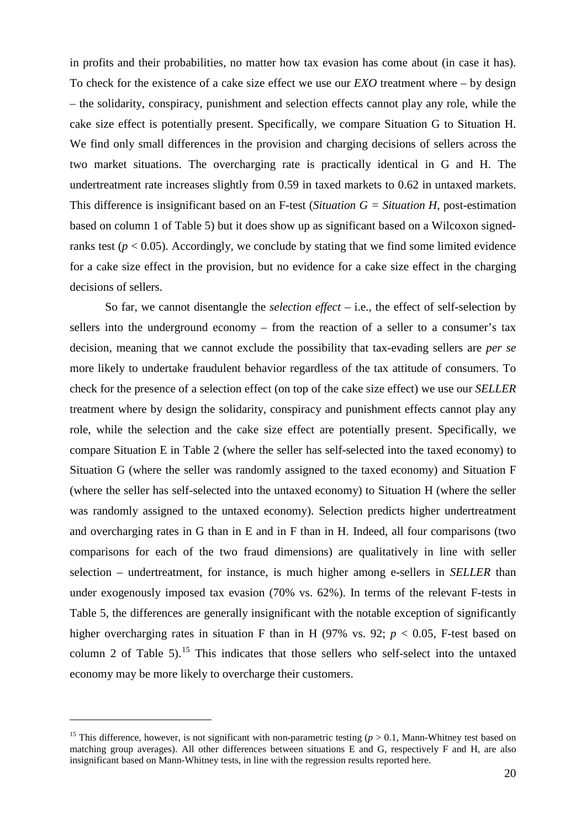in profits and their probabilities, no matter how tax evasion has come about (in case it has). To check for the existence of a cake size effect we use our *EXO* treatment where – by design – the solidarity, conspiracy, punishment and selection effects cannot play any role, while the cake size effect is potentially present. Specifically, we compare Situation G to Situation H. We find only small differences in the provision and charging decisions of sellers across the two market situations. The overcharging rate is practically identical in G and H. The undertreatment rate increases slightly from 0.59 in taxed markets to 0.62 in untaxed markets. This difference is insignificant based on an F-test (*Situation*  $G =$  *Situation*  $H$ , post-estimation based on column 1 of Table 5) but it does show up as significant based on a Wilcoxon signedranks test ( $p < 0.05$ ). Accordingly, we conclude by stating that we find some limited evidence for a cake size effect in the provision, but no evidence for a cake size effect in the charging decisions of sellers.

So far, we cannot disentangle the *selection effect* – i.e., the effect of self-selection by sellers into the underground economy – from the reaction of a seller to a consumer's tax decision, meaning that we cannot exclude the possibility that tax-evading sellers are *per se* more likely to undertake fraudulent behavior regardless of the tax attitude of consumers. To check for the presence of a selection effect (on top of the cake size effect) we use our *SELLER*  treatment where by design the solidarity, conspiracy and punishment effects cannot play any role, while the selection and the cake size effect are potentially present. Specifically, we compare Situation E in Table 2 (where the seller has self-selected into the taxed economy) to Situation G (where the seller was randomly assigned to the taxed economy) and Situation F (where the seller has self-selected into the untaxed economy) to Situation H (where the seller was randomly assigned to the untaxed economy). Selection predicts higher undertreatment and overcharging rates in G than in E and in F than in H. Indeed, all four comparisons (two comparisons for each of the two fraud dimensions) are qualitatively in line with seller selection – undertreatment, for instance, is much higher among e-sellers in *SELLER* than under exogenously imposed tax evasion (70% vs. 62%). In terms of the relevant F-tests in Table 5, the differences are generally insignificant with the notable exception of significantly higher overcharging rates in situation F than in H (97% vs. 92;  $p < 0.05$ , F-test based on column 2 of Table 5).<sup>[15](#page-16-1)</sup> This indicates that those sellers who self-select into the untaxed economy may be more likely to overcharge their customers.

-

<sup>&</sup>lt;sup>15</sup> This difference, however, is not significant with non-parametric testing ( $p > 0.1$ , Mann-Whitney test based on matching group averages). All other differences between situations E and G, respectively F and H, are also insignificant based on Mann-Whitney tests, in line with the regression results reported here.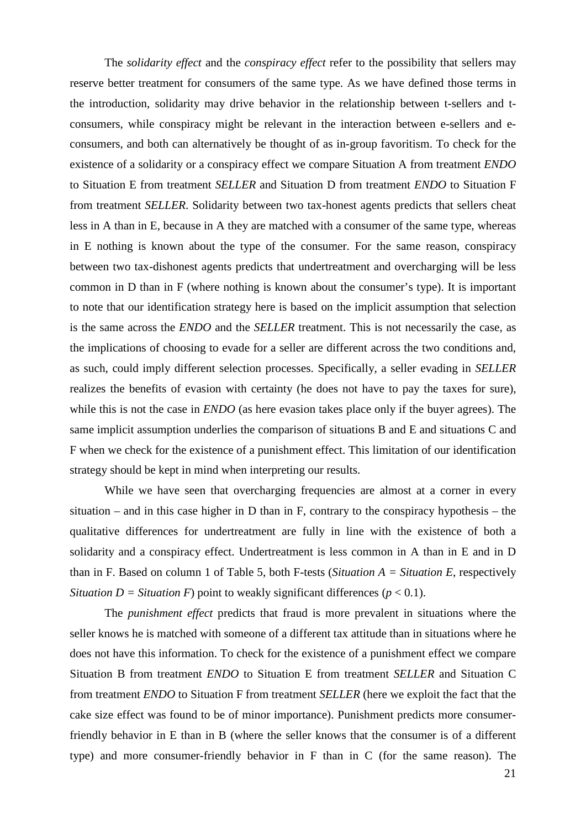The *solidarity effect* and the *conspiracy effect* refer to the possibility that sellers may reserve better treatment for consumers of the same type. As we have defined those terms in the introduction, solidarity may drive behavior in the relationship between t-sellers and tconsumers, while conspiracy might be relevant in the interaction between e-sellers and econsumers, and both can alternatively be thought of as in-group favoritism. To check for the existence of a solidarity or a conspiracy effect we compare Situation A from treatment *ENDO* to Situation E from treatment *SELLER* and Situation D from treatment *ENDO* to Situation F from treatment *SELLER*. Solidarity between two tax-honest agents predicts that sellers cheat less in A than in E, because in A they are matched with a consumer of the same type, whereas in E nothing is known about the type of the consumer. For the same reason, conspiracy between two tax-dishonest agents predicts that undertreatment and overcharging will be less common in D than in F (where nothing is known about the consumer's type). It is important to note that our identification strategy here is based on the implicit assumption that selection is the same across the *ENDO* and the *SELLER* treatment. This is not necessarily the case, as the implications of choosing to evade for a seller are different across the two conditions and, as such, could imply different selection processes. Specifically, a seller evading in *SELLER* realizes the benefits of evasion with certainty (he does not have to pay the taxes for sure), while this is not the case in *ENDO* (as here evasion takes place only if the buyer agrees). The same implicit assumption underlies the comparison of situations B and E and situations C and F when we check for the existence of a punishment effect. This limitation of our identification strategy should be kept in mind when interpreting our results.

While we have seen that overcharging frequencies are almost at a corner in every situation – and in this case higher in  $D$  than in  $F$ , contrary to the conspiracy hypothesis – the qualitative differences for undertreatment are fully in line with the existence of both a solidarity and a conspiracy effect. Undertreatment is less common in A than in E and in D than in F. Based on column 1 of Table 5, both F-tests (*Situation A = Situation E*, respectively *Situation D = Situation F*) point to weakly significant differences ( $p < 0.1$ ).

The *punishment effect* predicts that fraud is more prevalent in situations where the seller knows he is matched with someone of a different tax attitude than in situations where he does not have this information. To check for the existence of a punishment effect we compare Situation B from treatment *ENDO* to Situation E from treatment *SELLER* and Situation C from treatment *ENDO* to Situation F from treatment *SELLER* (here we exploit the fact that the cake size effect was found to be of minor importance). Punishment predicts more consumerfriendly behavior in E than in B (where the seller knows that the consumer is of a different type) and more consumer-friendly behavior in F than in C (for the same reason). The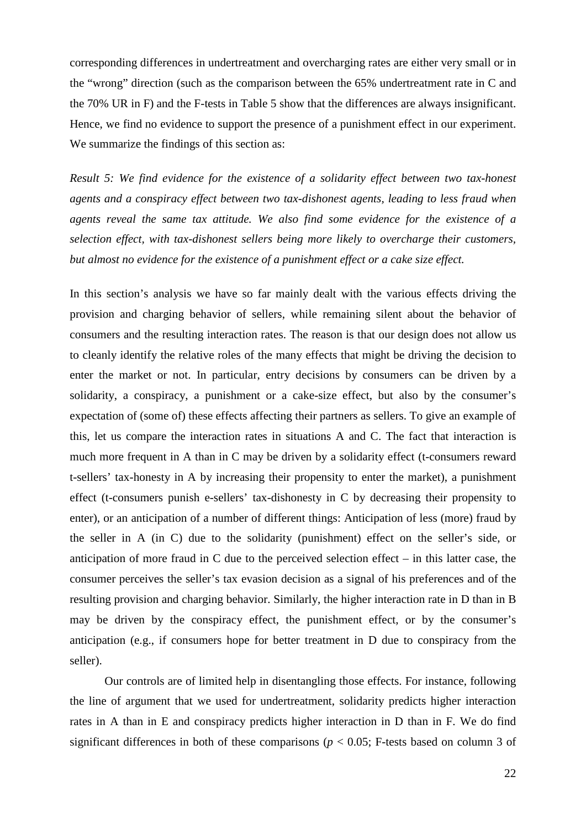corresponding differences in undertreatment and overcharging rates are either very small or in the "wrong" direction (such as the comparison between the 65% undertreatment rate in C and the 70% UR in F) and the F-tests in Table 5 show that the differences are always insignificant. Hence, we find no evidence to support the presence of a punishment effect in our experiment. We summarize the findings of this section as:

*Result 5: We find evidence for the existence of a solidarity effect between two tax-honest agents and a conspiracy effect between two tax-dishonest agents, leading to less fraud when agents reveal the same tax attitude. We also find some evidence for the existence of a selection effect, with tax-dishonest sellers being more likely to overcharge their customers, but almost no evidence for the existence of a punishment effect or a cake size effect.*

In this section's analysis we have so far mainly dealt with the various effects driving the provision and charging behavior of sellers, while remaining silent about the behavior of consumers and the resulting interaction rates. The reason is that our design does not allow us to cleanly identify the relative roles of the many effects that might be driving the decision to enter the market or not. In particular, entry decisions by consumers can be driven by a solidarity, a conspiracy, a punishment or a cake-size effect, but also by the consumer's expectation of (some of) these effects affecting their partners as sellers. To give an example of this, let us compare the interaction rates in situations A and C. The fact that interaction is much more frequent in A than in C may be driven by a solidarity effect (t-consumers reward t-sellers' tax-honesty in A by increasing their propensity to enter the market), a punishment effect (t-consumers punish e-sellers' tax-dishonesty in C by decreasing their propensity to enter), or an anticipation of a number of different things: Anticipation of less (more) fraud by the seller in A (in C) due to the solidarity (punishment) effect on the seller's side, or anticipation of more fraud in C due to the perceived selection effect – in this latter case, the consumer perceives the seller's tax evasion decision as a signal of his preferences and of the resulting provision and charging behavior. Similarly, the higher interaction rate in D than in B may be driven by the conspiracy effect, the punishment effect, or by the consumer's anticipation (e.g., if consumers hope for better treatment in D due to conspiracy from the seller).

Our controls are of limited help in disentangling those effects. For instance, following the line of argument that we used for undertreatment, solidarity predicts higher interaction rates in A than in E and conspiracy predicts higher interaction in D than in F. We do find significant differences in both of these comparisons ( $p < 0.05$ ; F-tests based on column 3 of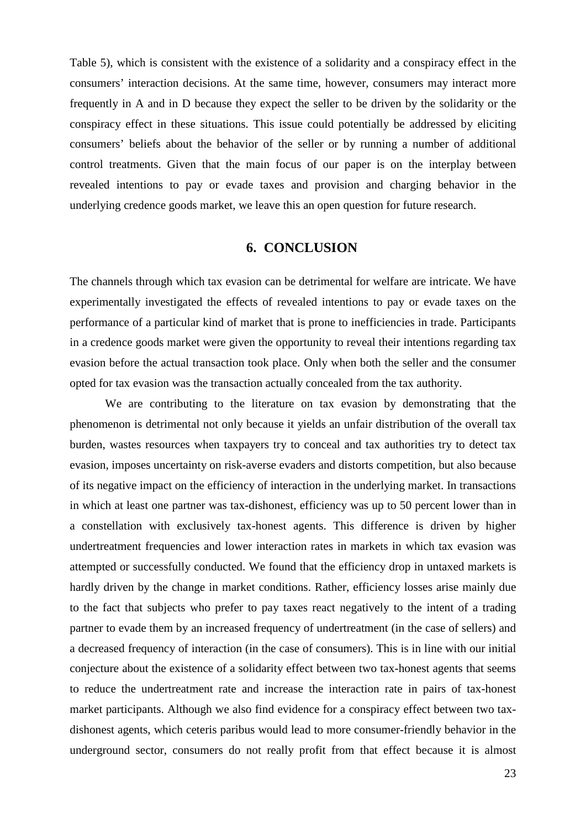Table 5), which is consistent with the existence of a solidarity and a conspiracy effect in the consumers' interaction decisions. At the same time, however, consumers may interact more frequently in A and in D because they expect the seller to be driven by the solidarity or the conspiracy effect in these situations. This issue could potentially be addressed by eliciting consumers' beliefs about the behavior of the seller or by running a number of additional control treatments. Given that the main focus of our paper is on the interplay between revealed intentions to pay or evade taxes and provision and charging behavior in the underlying credence goods market, we leave this an open question for future research.

### **6. CONCLUSION**

The channels through which tax evasion can be detrimental for welfare are intricate. We have experimentally investigated the effects of revealed intentions to pay or evade taxes on the performance of a particular kind of market that is prone to inefficiencies in trade. Participants in a credence goods market were given the opportunity to reveal their intentions regarding tax evasion before the actual transaction took place. Only when both the seller and the consumer opted for tax evasion was the transaction actually concealed from the tax authority.

We are contributing to the literature on tax evasion by demonstrating that the phenomenon is detrimental not only because it yields an unfair distribution of the overall tax burden, wastes resources when taxpayers try to conceal and tax authorities try to detect tax evasion, imposes uncertainty on risk-averse evaders and distorts competition, but also because of its negative impact on the efficiency of interaction in the underlying market. In transactions in which at least one partner was tax-dishonest, efficiency was up to 50 percent lower than in a constellation with exclusively tax-honest agents. This difference is driven by higher undertreatment frequencies and lower interaction rates in markets in which tax evasion was attempted or successfully conducted. We found that the efficiency drop in untaxed markets is hardly driven by the change in market conditions. Rather, efficiency losses arise mainly due to the fact that subjects who prefer to pay taxes react negatively to the intent of a trading partner to evade them by an increased frequency of undertreatment (in the case of sellers) and a decreased frequency of interaction (in the case of consumers). This is in line with our initial conjecture about the existence of a solidarity effect between two tax-honest agents that seems to reduce the undertreatment rate and increase the interaction rate in pairs of tax-honest market participants. Although we also find evidence for a conspiracy effect between two taxdishonest agents, which ceteris paribus would lead to more consumer-friendly behavior in the underground sector, consumers do not really profit from that effect because it is almost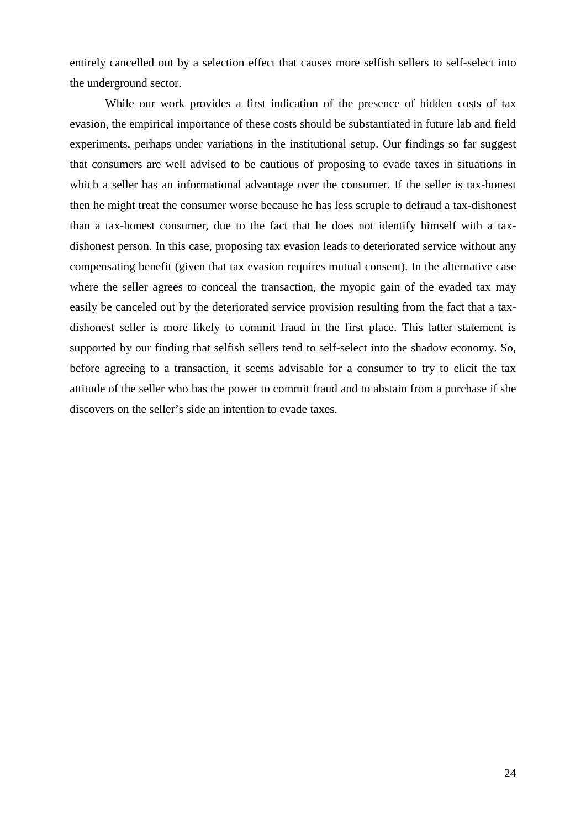entirely cancelled out by a selection effect that causes more selfish sellers to self-select into the underground sector.

While our work provides a first indication of the presence of hidden costs of tax evasion, the empirical importance of these costs should be substantiated in future lab and field experiments, perhaps under variations in the institutional setup. Our findings so far suggest that consumers are well advised to be cautious of proposing to evade taxes in situations in which a seller has an informational advantage over the consumer. If the seller is tax-honest then he might treat the consumer worse because he has less scruple to defraud a tax-dishonest than a tax-honest consumer, due to the fact that he does not identify himself with a taxdishonest person. In this case, proposing tax evasion leads to deteriorated service without any compensating benefit (given that tax evasion requires mutual consent). In the alternative case where the seller agrees to conceal the transaction, the myopic gain of the evaded tax may easily be canceled out by the deteriorated service provision resulting from the fact that a taxdishonest seller is more likely to commit fraud in the first place. This latter statement is supported by our finding that selfish sellers tend to self-select into the shadow economy. So, before agreeing to a transaction, it seems advisable for a consumer to try to elicit the tax attitude of the seller who has the power to commit fraud and to abstain from a purchase if she discovers on the seller's side an intention to evade taxes.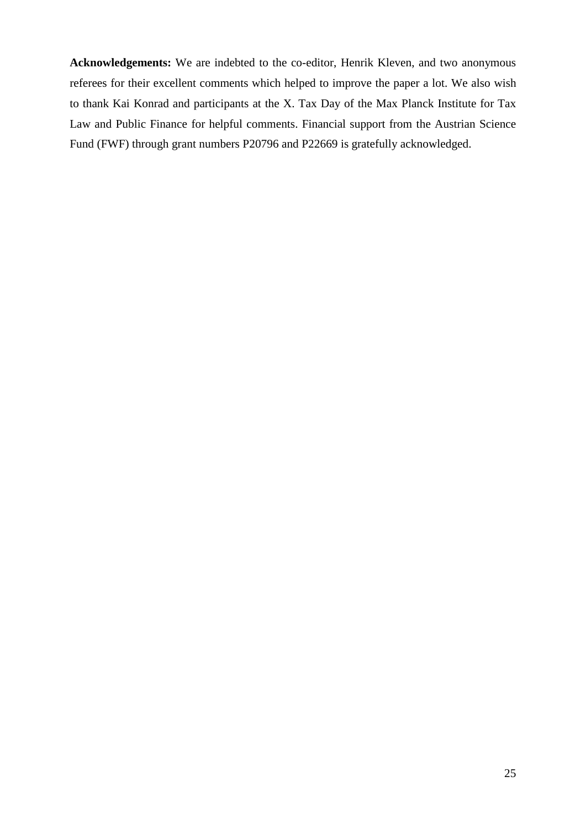**Acknowledgements:** We are indebted to the co-editor, Henrik Kleven, and two anonymous referees for their excellent comments which helped to improve the paper a lot. We also wish to thank Kai Konrad and participants at the X. Tax Day of the Max Planck Institute for Tax Law and Public Finance for helpful comments. Financial support from the Austrian Science Fund (FWF) through grant numbers P20796 and P22669 is gratefully acknowledged.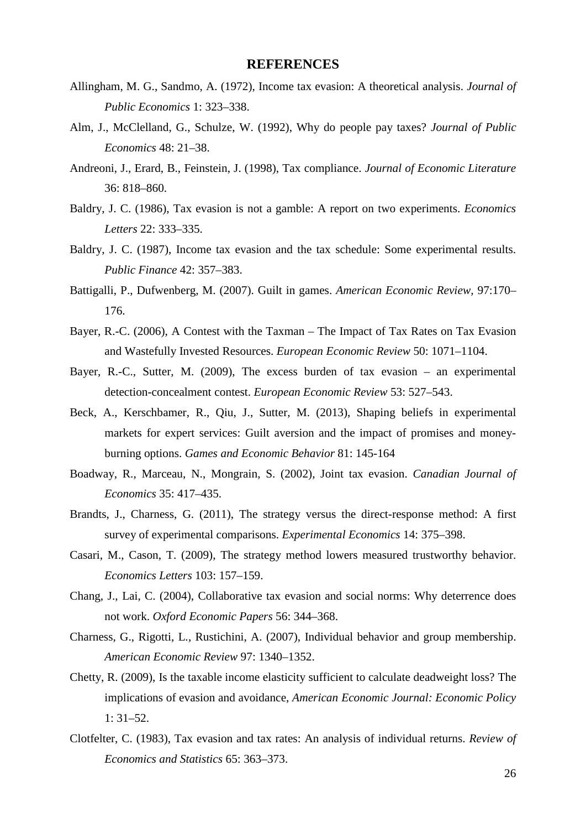## **REFERENCES**

- Allingham, M. G., Sandmo, A. (1972), Income tax evasion: A theoretical analysis. *Journal of Public Economics* 1: 323–338.
- Alm, J., McClelland, G., Schulze, W. (1992), Why do people pay taxes? *Journal of Public Economics* 48: 21–38.
- Andreoni, J., Erard, B., Feinstein, J. (1998), Tax compliance. *Journal of Economic Literature* 36: 818–860.
- Baldry, J. C. (1986), Tax evasion is not a gamble: A report on two experiments. *Economics Letters* 22: 333–335.
- Baldry, J. C. (1987), Income tax evasion and the tax schedule: Some experimental results. *Public Finance* 42: 357–383.
- Battigalli, P., Dufwenberg, M. (2007). Guilt in games. *American Economic Review,* 97:170– 176.
- Bayer, R.-C. (2006), A Contest with the Taxman The Impact of Tax Rates on Tax Evasion and Wastefully Invested Resources. *European Economic Review* 50: 1071–1104.
- Bayer, R.-C., Sutter, M. (2009), The excess burden of tax evasion an experimental detection-concealment contest. *European Economic Review* 53: 527–543.
- Beck, A., Kerschbamer, R., Qiu, J., Sutter, M. (2013), Shaping beliefs in experimental markets for expert services: Guilt aversion and the impact of promises and moneyburning options. *Games and Economic Behavior* 81: 145-164
- Boadway, R., Marceau, N., Mongrain, S. (2002), Joint tax evasion. *Canadian Journal of Economics* 35: 417–435.
- Brandts, J., Charness, G. (2011), The strategy versus the direct-response method: A first survey of experimental comparisons. *Experimental Economics* 14: 375–398.
- Casari, M., Cason, T. (2009), The strategy method lowers measured trustworthy behavior. *Economics Letters* 103: 157–159.
- Chang, J., Lai, C. (2004), Collaborative tax evasion and social norms: Why deterrence does not work. *Oxford Economic Papers* 56: 344–368.
- Charness, G., Rigotti, L., Rustichini, A. (2007), Individual behavior and group membership. *American Economic Review* 97: 1340–1352.
- Chetty, R. (2009), Is the taxable income elasticity sufficient to calculate deadweight loss? The implications of evasion and avoidance, *American Economic Journal: Economic Policy*  $1: 31 - 52.$
- Clotfelter, C. (1983), Tax evasion and tax rates: An analysis of individual returns. *Review of Economics and Statistics* 65: 363–373.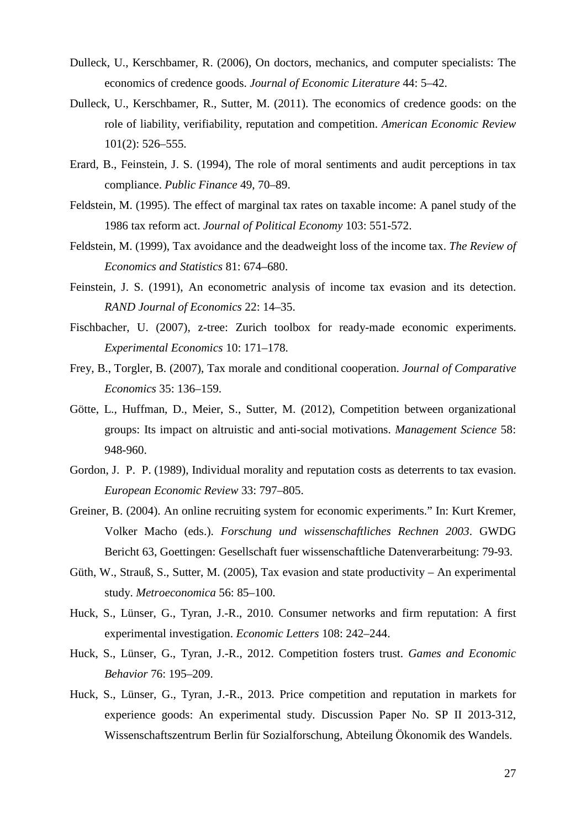- Dulleck, U., Kerschbamer, R. (2006), On doctors, mechanics, and computer specialists: The economics of credence goods. *Journal of Economic Literature* 44: 5–42.
- Dulleck, U., Kerschbamer, R., Sutter, M. (2011). The economics of credence goods: on the role of liability, verifiability, reputation and competition. *American Economic Review* 101(2): 526–555.
- Erard, B., Feinstein, J. S. (1994), The role of moral sentiments and audit perceptions in tax compliance. *Public Finance* 49, 70–89.
- Feldstein, M. (1995). The effect of marginal tax rates on taxable income: A panel study of the 1986 tax reform act. *Journal of Political Economy* 103: 551-572.
- Feldstein, M. (1999), Tax avoidance and the deadweight loss of the income tax. *The Review of Economics and Statistics* 81: 674–680.
- Feinstein, J. S. (1991), An econometric analysis of income tax evasion and its detection. *RAND Journal of Economics* 22: 14–35.
- Fischbacher, U. (2007), z-tree: Zurich toolbox for ready-made economic experiments. *Experimental Economics* 10: 171–178.
- Frey, B., Torgler, B. (2007), Tax morale and conditional cooperation. *Journal of Comparative Economics* 35: 136–159.
- Götte, L., Huffman, D., Meier, S., Sutter, M. (2012), Competition between organizational groups: Its impact on altruistic and anti-social motivations. *Management Science* 58: 948-960.
- Gordon, J. P. P. (1989), Individual morality and reputation costs as deterrents to tax evasion. *European Economic Review* 33: 797–805.
- Greiner, B. (2004). An online recruiting system for economic experiments." In: Kurt Kremer, Volker Macho (eds.). *Forschung und wissenschaftliches Rechnen 2003*. GWDG Bericht 63, Goettingen: Gesellschaft fuer wissenschaftliche Datenverarbeitung: 79-93.
- Güth, W., Strauß, S., Sutter, M. (2005), Tax evasion and state productivity An experimental study. *Metroeconomica* 56: 85–100.
- Huck, S., Lünser, G., Tyran, J.-R., 2010. Consumer networks and firm reputation: A first experimental investigation. *Economic Letters* 108: 242–244.
- Huck, S., Lünser, G., Tyran, J.-R., 2012. Competition fosters trust. *Games and Economic Behavior* 76: 195–209.
- Huck, S., Lünser, G., Tyran, J.-R., 2013. Price competition and reputation in markets for experience goods: An experimental study. Discussion Paper No. SP II 2013-312, Wissenschaftszentrum Berlin für Sozialforschung, Abteilung Ökonomik des Wandels.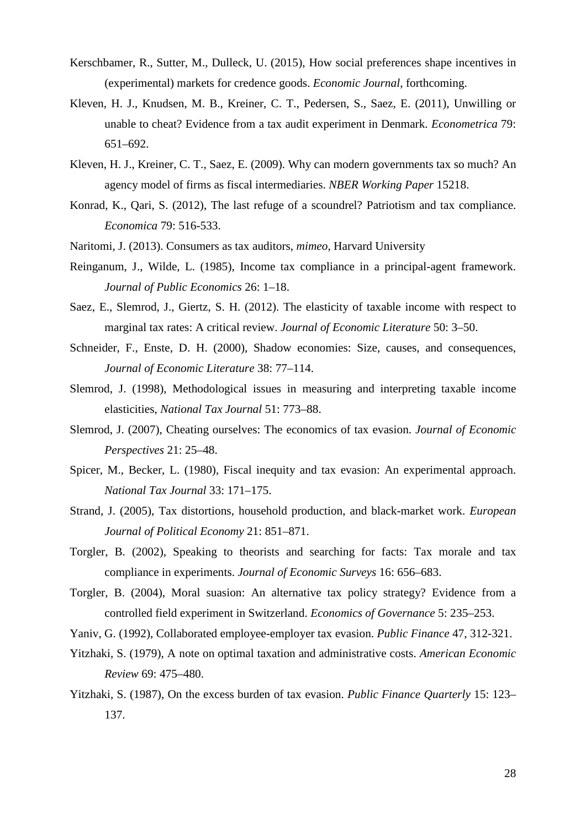- Kerschbamer, R., Sutter, M., Dulleck, U. (2015), How social preferences shape incentives in (experimental) markets for credence goods. *Economic Journal*, forthcoming.
- Kleven, H. J., Knudsen, M. B., Kreiner, C. T., Pedersen, S., Saez, E. (2011), Unwilling or unable to cheat? Evidence from a tax audit experiment in Denmark. *Econometrica* 79: 651–692.
- Kleven, H. J., Kreiner, C. T., Saez, E. (2009). Why can modern governments tax so much? An agency model of firms as fiscal intermediaries. *NBER Working Paper* 15218.
- Konrad, K., Qari, S. (2012), The last refuge of a scoundrel? Patriotism and tax compliance. *Economica* 79: 516-533.
- Naritomi, J. (2013). Consumers as tax auditors, *mimeo*, Harvard University
- Reinganum, J., Wilde, L. (1985), Income tax compliance in a principal-agent framework. *Journal of Public Economics* 26: 1–18.
- Saez, E., Slemrod, J., Giertz, S. H. (2012). The elasticity of taxable income with respect to marginal tax rates: A critical review. *Journal of Economic Literature* 50: 3–50.
- Schneider, F., Enste, D. H. (2000), Shadow economies: Size, causes, and consequences, *Journal of Economic Literature* 38: 77–114.
- Slemrod, J. (1998), Methodological issues in measuring and interpreting taxable income elasticities, *National Tax Journal* 51: 773–88.
- Slemrod, J. (2007), Cheating ourselves: The economics of tax evasion. *Journal of Economic Perspectives* 21: 25–48.
- Spicer, M., Becker, L. (1980), Fiscal inequity and tax evasion: An experimental approach. *National Tax Journal* 33: 171–175.
- Strand, J. (2005), Tax distortions, household production, and black-market work. *European Journal of Political Economy* 21: 851–871.
- Torgler, B. (2002), Speaking to theorists and searching for facts: Tax morale and tax compliance in experiments. *Journal of Economic Surveys* 16: 656–683.
- Torgler, B. (2004), Moral suasion: An alternative tax policy strategy? Evidence from a controlled field experiment in Switzerland. *Economics of Governance* 5: 235–253.
- Yaniv, G. (1992), Collaborated employee-employer tax evasion. *Public Finance* 47, 312-321.
- Yitzhaki, S. (1979), A note on optimal taxation and administrative costs. *American Economic Review* 69: 475–480.
- Yitzhaki, S. (1987), On the excess burden of tax evasion. *Public Finance Quarterly* 15: 123– 137.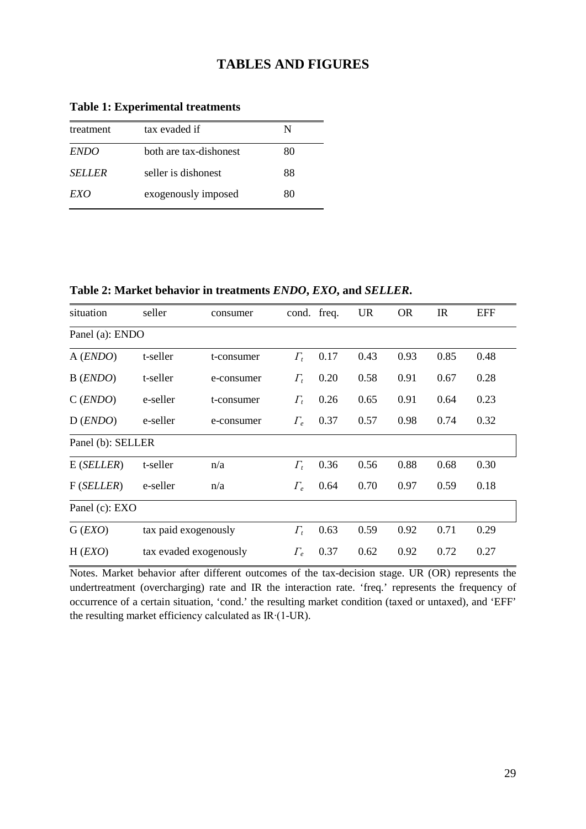## **TABLES AND FIGURES**

**Table 1: Experimental treatments**

| treatment     | tax evaded if          | N  |
|---------------|------------------------|----|
| <i>ENDO</i>   | both are tax-dishonest | 80 |
| <b>SELLER</b> | seller is dishonest    | 88 |
| EXO           | exogenously imposed    | 80 |

**Table 2: Market behavior in treatments** *ENDO***,** *EXO***, and** *SELLER***.**

| situation           | seller                 | consumer   | cond. freq. |      | <b>UR</b> | <b>OR</b> | <b>IR</b> | EFF  |
|---------------------|------------------------|------------|-------------|------|-----------|-----------|-----------|------|
| Panel (a): ENDO     |                        |            |             |      |           |           |           |      |
| A (ENDO)            | t-seller               | t-consumer | $\Gamma_t$  | 0.17 | 0.43      | 0.93      | 0.85      | 0.48 |
| $B$ ( <i>ENDO</i> ) | t-seller               | e-consumer | $\Gamma_t$  | 0.20 | 0.58      | 0.91      | 0.67      | 0.28 |
| $C$ ( <i>ENDO</i> ) | e-seller               | t-consumer | $\Gamma_t$  | 0.26 | 0.65      | 0.91      | 0.64      | 0.23 |
| $D$ ( <i>ENDO</i> ) | e-seller               | e-consumer | $\Gamma_e$  | 0.37 | 0.57      | 0.98      | 0.74      | 0.32 |
| Panel (b): SELLER   |                        |            |             |      |           |           |           |      |
| E (SELLER)          | t-seller               | n/a        | $\Gamma_t$  | 0.36 | 0.56      | 0.88      | 0.68      | 0.30 |
| F (SELLER)          | e-seller               | n/a        | $\Gamma_e$  | 0.64 | 0.70      | 0.97      | 0.59      | 0.18 |
| Panel (c): EXO      |                        |            |             |      |           |           |           |      |
| $G$ ( <i>EXO</i> )  | tax paid exogenously   |            | $\Gamma_t$  | 0.63 | 0.59      | 0.92      | 0.71      | 0.29 |
| $H$ ( <i>EXO</i> )  | tax evaded exogenously |            | $\Gamma_e$  | 0.37 | 0.62      | 0.92      | 0.72      | 0.27 |

Notes. Market behavior after different outcomes of the tax-decision stage. UR (OR) represents the undertreatment (overcharging) rate and IR the interaction rate. 'freq.' represents the frequency of occurrence of a certain situation, 'cond.' the resulting market condition (taxed or untaxed), and 'EFF' the resulting market efficiency calculated as IR∙(1-UR).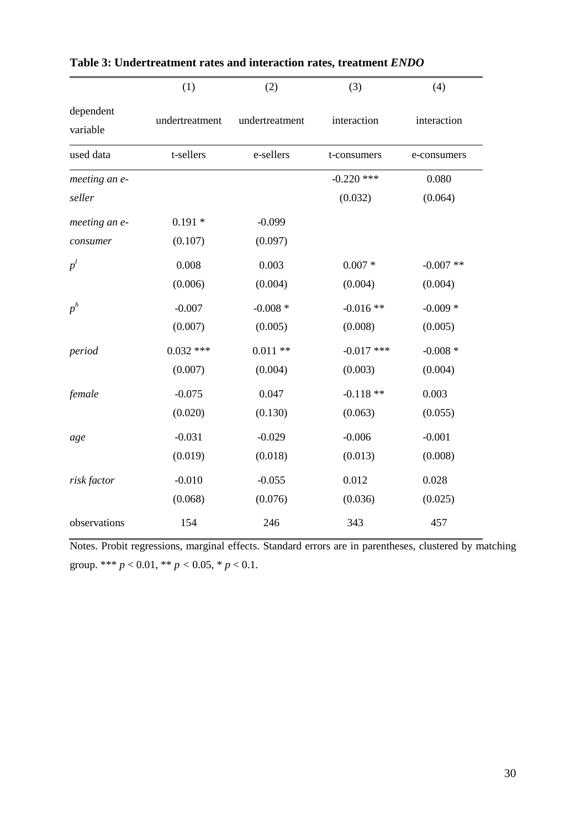|                       | (1)            | (2)            | (3)          | (4)         |
|-----------------------|----------------|----------------|--------------|-------------|
| dependent<br>variable | undertreatment | undertreatment | interaction  | interaction |
| used data             | t-sellers      | e-sellers      | t-consumers  | e-consumers |
| meeting an e-         |                |                | $-0.220$ *** | 0.080       |
| seller                |                |                | (0.032)      | (0.064)     |
| meeting an e-         | $0.191 *$      | $-0.099$       |              |             |
| consumer              | (0.107)        | (0.097)        |              |             |
| $p^{l}$               | 0.008          | 0.003          | $0.007 *$    | $-0.007$ ** |
|                       | (0.006)        | (0.004)        | (0.004)      | (0.004)     |
| $p^h$                 | $-0.007$       | $-0.008*$      | $-0.016**$   | $-0.009*$   |
|                       | (0.007)        | (0.005)        | (0.008)      | (0.005)     |
| period                | $0.032$ ***    | $0.011**$      | $-0.017$ *** | $-0.008*$   |
|                       | (0.007)        | (0.004)        | (0.003)      | (0.004)     |
| female                | $-0.075$       | 0.047          | $-0.118**$   | 0.003       |
|                       | (0.020)        | (0.130)        | (0.063)      | (0.055)     |
| age                   | $-0.031$       | $-0.029$       | $-0.006$     | $-0.001$    |
|                       | (0.019)        | (0.018)        | (0.013)      | (0.008)     |
| risk factor           | $-0.010$       | $-0.055$       | 0.012        | 0.028       |
|                       | (0.068)        | (0.076)        | (0.036)      | (0.025)     |
| observations          | 154            | 246            | 343          | 457         |

| Table 3: Undertreatment rates and interaction rates, treatment ENDO |  |
|---------------------------------------------------------------------|--|
|---------------------------------------------------------------------|--|

Notes. Probit regressions, marginal effects. Standard errors are in parentheses, clustered by matching group. \*\*\*  $p < 0.01$ , \*\*  $p < 0.05$ , \*  $p < 0.1$ .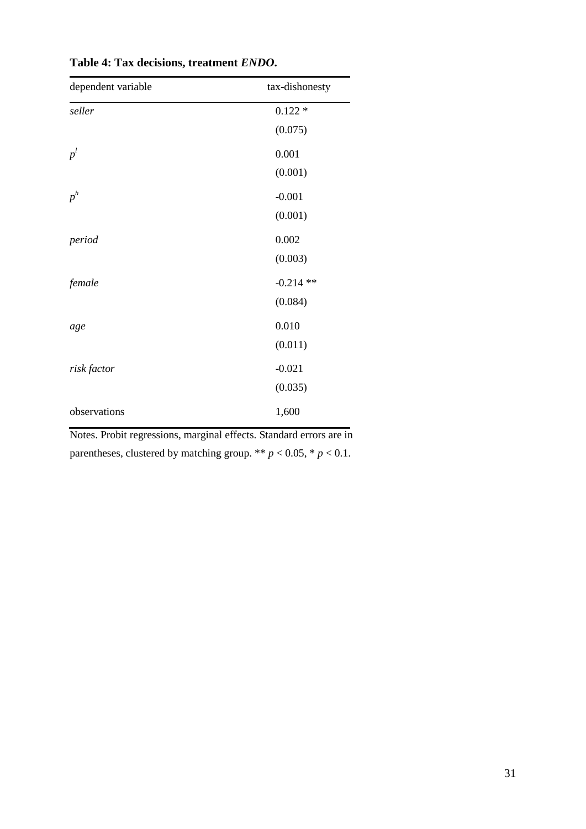| dependent variable | tax-dishonesty |
|--------------------|----------------|
| seller             | $0.122*$       |
|                    | (0.075)        |
| $p^{l}$            | 0.001          |
|                    | (0.001)        |
| $p^h$              | $-0.001$       |
|                    | (0.001)        |
| period             | 0.002          |
|                    | (0.003)        |
| female             | $-0.214$ **    |
|                    | (0.084)        |
| age                | 0.010          |
|                    | (0.011)        |
| risk factor        | $-0.021$       |
|                    | (0.035)        |
| observations       | 1,600          |

## **Table 4: Tax decisions, treatment** *ENDO***.**

Notes. Probit regressions, marginal effects. Standard errors are in parentheses, clustered by matching group. \*\*  $p < 0.05$ , \*  $p < 0.1$ .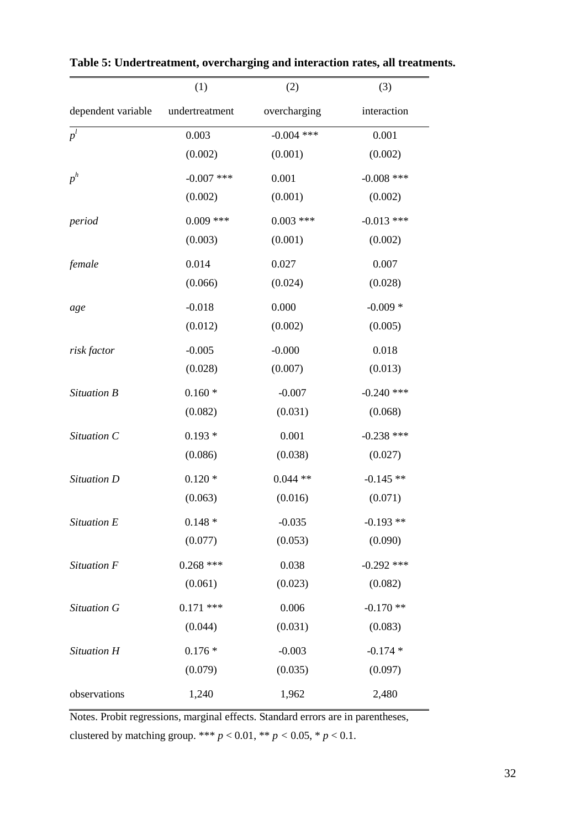|                    | (1)            | (2)          | (3)          |
|--------------------|----------------|--------------|--------------|
| dependent variable | undertreatment | overcharging | interaction  |
| $p^{l}$            | 0.003          | $-0.004$ *** | 0.001        |
|                    | (0.002)        | (0.001)      | (0.002)      |
| $p^h$              | $-0.007$ ***   | 0.001        | $-0.008$ *** |
|                    | (0.002)        | (0.001)      | (0.002)      |
| period             | $0.009$ ***    | $0.003$ ***  | $-0.013$ *** |
|                    | (0.003)        | (0.001)      | (0.002)      |
| female             | 0.014          | 0.027        | 0.007        |
|                    | (0.066)        | (0.024)      | (0.028)      |
| age                | $-0.018$       | 0.000        | $-0.009*$    |
|                    | (0.012)        | (0.002)      | (0.005)      |
| risk factor        | $-0.005$       | $-0.000$     | 0.018        |
|                    | (0.028)        | (0.007)      | (0.013)      |
| Situation B        | $0.160*$       | $-0.007$     | $-0.240$ *** |
|                    | (0.082)        | (0.031)      | (0.068)      |
| Situation C        | $0.193*$       | 0.001        | $-0.238$ *** |
|                    | (0.086)        | (0.038)      | (0.027)      |
| Situation D        | $0.120*$       | $0.044$ **   | $-0.145$ **  |
|                    | (0.063)        | (0.016)      | (0.071)      |
| Situation E        | $0.148*$       | $-0.035$     | $-0.193$ **  |
|                    | (0.077)        | (0.053)      | (0.090)      |
| Situation F        | $0.268$ ***    | 0.038        | $-0.292$ *** |
|                    | (0.061)        | (0.023)      | (0.082)      |
| Situation G        | $0.171$ ***    | 0.006        | $-0.170$ **  |
|                    | (0.044)        | (0.031)      | (0.083)      |
| Situation H        | $0.176*$       | $-0.003$     | $-0.174*$    |
|                    | (0.079)        | (0.035)      | (0.097)      |
| observations       | 1,240          | 1,962        | 2,480        |

| Table 5: Undertreatment, overcharging and interaction rates, all treatments |  |  |
|-----------------------------------------------------------------------------|--|--|
|                                                                             |  |  |

Notes. Probit regressions, marginal effects. Standard errors are in parentheses, clustered by matching group. \*\*\*  $p < 0.01$ , \*\*  $p < 0.05$ , \*  $p < 0.1$ .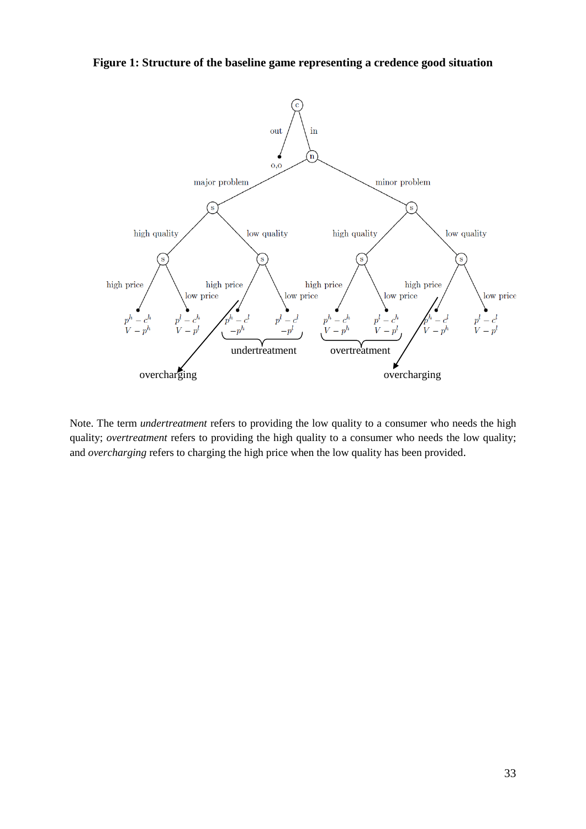## **Figure 1: Structure of the baseline game representing a credence good situation**



Note. The term *undertreatment* refers to providing the low quality to a consumer who needs the high quality; *overtreatment* refers to providing the high quality to a consumer who needs the low quality; and *overcharging* refers to charging the high price when the low quality has been provided.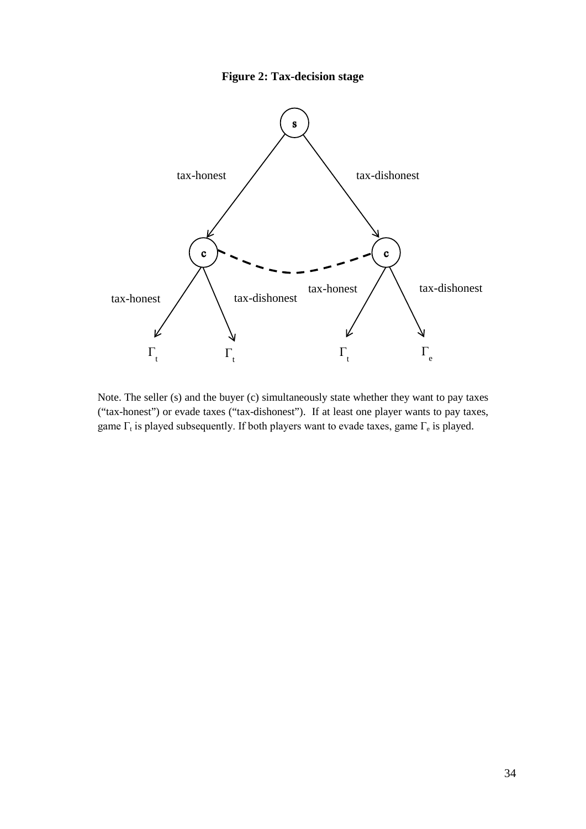## **Figure 2: Tax-decision stage**



Note. The seller (s) and the buyer (c) simultaneously state whether they want to pay taxes ("tax-honest") or evade taxes ("tax-dishonest"). If at least one player wants to pay taxes, game  $\Gamma_t$  is played subsequently. If both players want to evade taxes, game  $\Gamma_e$  is played.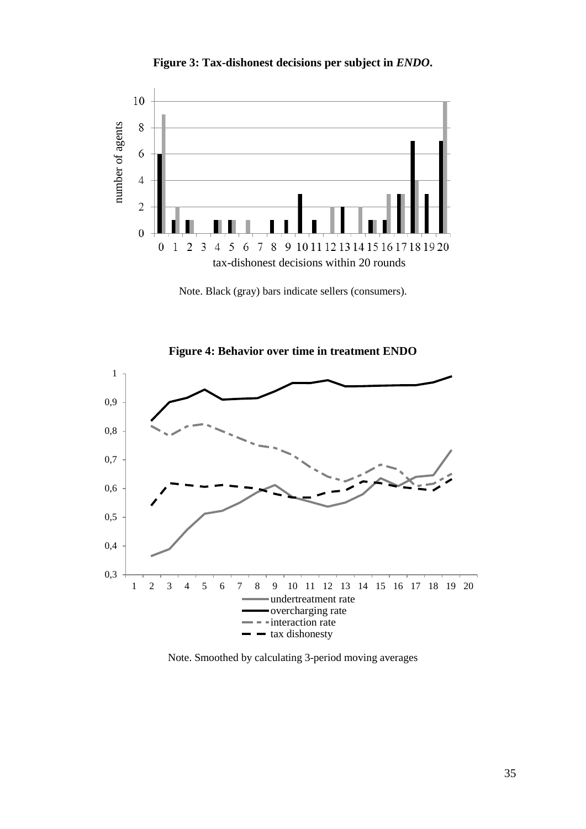**Figure 3: Tax-dishonest decisions per subject in** *ENDO***.**



Note. Black (gray) bars indicate sellers (consumers).



**Figure 4: Behavior over time in treatment ENDO**

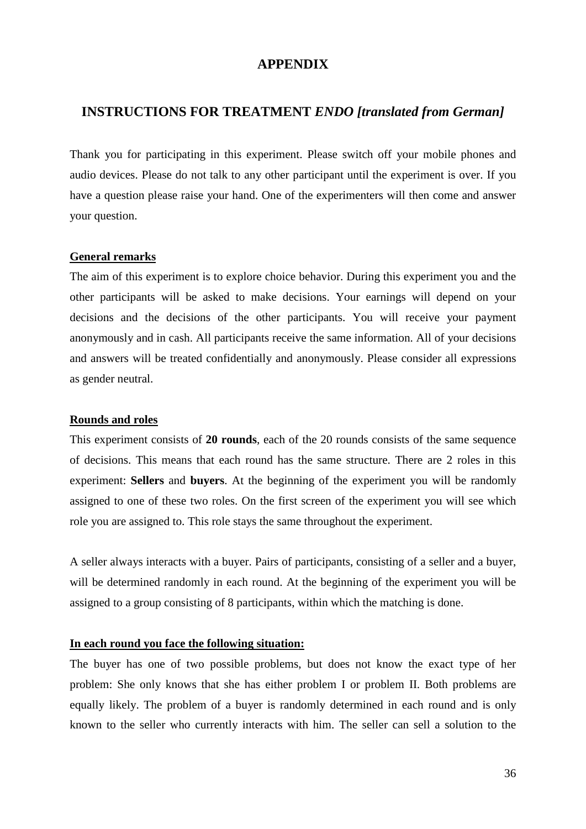## **APPENDIX**

### **INSTRUCTIONS FOR TREATMENT** *ENDO [translated from German]*

Thank you for participating in this experiment. Please switch off your mobile phones and audio devices. Please do not talk to any other participant until the experiment is over. If you have a question please raise your hand. One of the experimenters will then come and answer your question.

#### **General remarks**

The aim of this experiment is to explore choice behavior. During this experiment you and the other participants will be asked to make decisions. Your earnings will depend on your decisions and the decisions of the other participants. You will receive your payment anonymously and in cash. All participants receive the same information. All of your decisions and answers will be treated confidentially and anonymously. Please consider all expressions as gender neutral.

#### **Rounds and roles**

This experiment consists of **20 rounds**, each of the 20 rounds consists of the same sequence of decisions. This means that each round has the same structure. There are 2 roles in this experiment: **Sellers** and **buyers**. At the beginning of the experiment you will be randomly assigned to one of these two roles. On the first screen of the experiment you will see which role you are assigned to. This role stays the same throughout the experiment.

A seller always interacts with a buyer. Pairs of participants, consisting of a seller and a buyer, will be determined randomly in each round. At the beginning of the experiment you will be assigned to a group consisting of 8 participants, within which the matching is done.

#### **In each round you face the following situation:**

The buyer has one of two possible problems, but does not know the exact type of her problem: She only knows that she has either problem I or problem II. Both problems are equally likely. The problem of a buyer is randomly determined in each round and is only known to the seller who currently interacts with him. The seller can sell a solution to the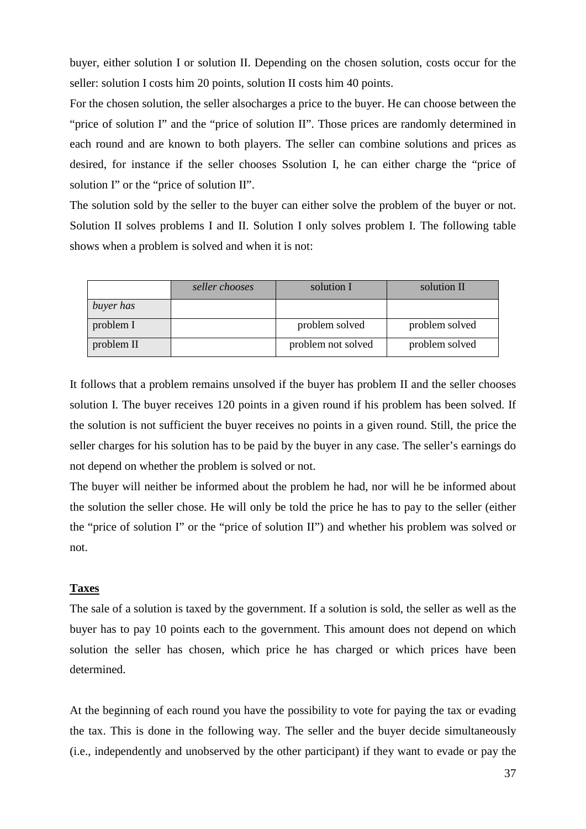buyer, either solution I or solution II. Depending on the chosen solution, costs occur for the seller: solution I costs him 20 points, solution II costs him 40 points.

For the chosen solution, the seller alsocharges a price to the buyer. He can choose between the "price of solution I" and the "price of solution II". Those prices are randomly determined in each round and are known to both players. The seller can combine solutions and prices as desired, for instance if the seller chooses Ssolution I, he can either charge the "price of solution I" or the "price of solution II".

The solution sold by the seller to the buyer can either solve the problem of the buyer or not. Solution II solves problems I and II. Solution I only solves problem I. The following table shows when a problem is solved and when it is not:

|            | seller chooses | solution I         | solution II    |
|------------|----------------|--------------------|----------------|
| buyer has  |                |                    |                |
| problem I  |                | problem solved     | problem solved |
| problem II |                | problem not solved | problem solved |

It follows that a problem remains unsolved if the buyer has problem II and the seller chooses solution I. The buyer receives 120 points in a given round if his problem has been solved. If the solution is not sufficient the buyer receives no points in a given round. Still, the price the seller charges for his solution has to be paid by the buyer in any case. The seller's earnings do not depend on whether the problem is solved or not.

The buyer will neither be informed about the problem he had, nor will he be informed about the solution the seller chose. He will only be told the price he has to pay to the seller (either the "price of solution I" or the "price of solution II") and whether his problem was solved or not.

#### **Taxes**

The sale of a solution is taxed by the government. If a solution is sold, the seller as well as the buyer has to pay 10 points each to the government. This amount does not depend on which solution the seller has chosen, which price he has charged or which prices have been determined.

At the beginning of each round you have the possibility to vote for paying the tax or evading the tax. This is done in the following way. The seller and the buyer decide simultaneously (i.e., independently and unobserved by the other participant) if they want to evade or pay the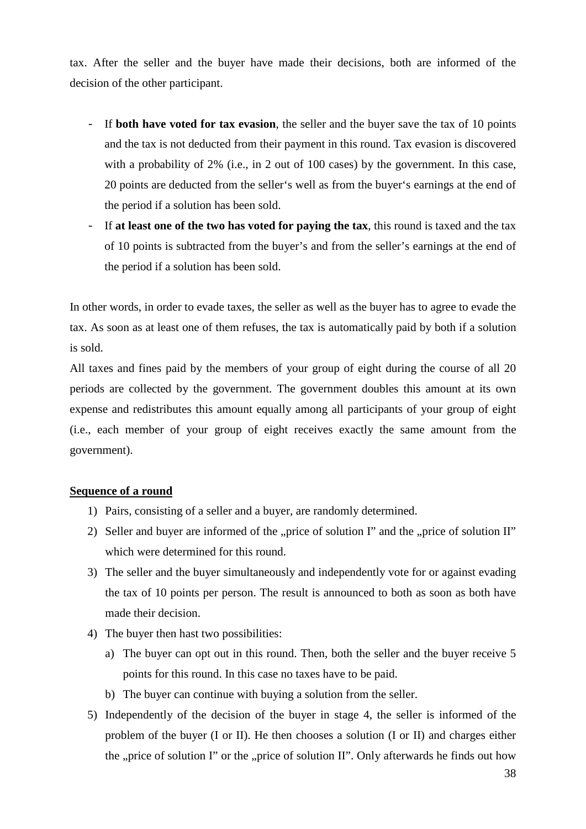tax. After the seller and the buyer have made their decisions, both are informed of the decision of the other participant.

- If **both have voted for tax evasion**, the seller and the buyer save the tax of 10 points and the tax is not deducted from their payment in this round. Tax evasion is discovered with a probability of 2% (i.e., in 2 out of 100 cases) by the government. In this case, 20 points are deducted from the seller's well as from the buyer's earnings at the end of the period if a solution has been sold.
- If **at least one of the two has voted for paying the tax**, this round is taxed and the tax of 10 points is subtracted from the buyer's and from the seller's earnings at the end of the period if a solution has been sold.

In other words, in order to evade taxes, the seller as well as the buyer has to agree to evade the tax. As soon as at least one of them refuses, the tax is automatically paid by both if a solution is sold.

All taxes and fines paid by the members of your group of eight during the course of all 20 periods are collected by the government. The government doubles this amount at its own expense and redistributes this amount equally among all participants of your group of eight (i.e., each member of your group of eight receives exactly the same amount from the government).

#### **Sequence of a round**

- 1) Pairs, consisting of a seller and a buyer, are randomly determined.
- 2) Seller and buyer are informed of the "price of solution I" and the "price of solution II" which were determined for this round.
- 3) The seller and the buyer simultaneously and independently vote for or against evading the tax of 10 points per person. The result is announced to both as soon as both have made their decision.
- 4) The buyer then hast two possibilities:
	- a) The buyer can opt out in this round. Then, both the seller and the buyer receive 5 points for this round. In this case no taxes have to be paid.
	- b) The buyer can continue with buying a solution from the seller.
- 5) Independently of the decision of the buyer in stage 4, the seller is informed of the problem of the buyer (I or II). He then chooses a solution (I or II) and charges either the "price of solution I" or the "price of solution II". Only afterwards he finds out how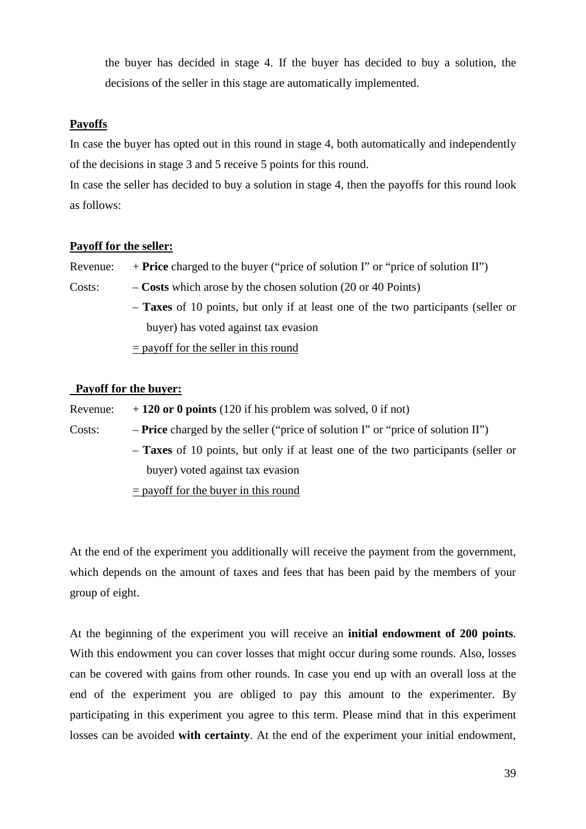the buyer has decided in stage 4. If the buyer has decided to buy a solution, the decisions of the seller in this stage are automatically implemented.

### **Payoffs**

In case the buyer has opted out in this round in stage 4, both automatically and independently of the decisions in stage 3 and 5 receive 5 points for this round.

In case the seller has decided to buy a solution in stage 4, then the payoffs for this round look as follows:

#### **Payoff for the seller:**

Revenue:  $+$  **Price** charged to the buyer ("price of solution I" or "price of solution II")

- Costs: **Costs** which arose by the chosen solution (20 or 40 Points)
	- **Taxes** of 10 points, but only if at least one of the two participants (seller or buyer) has voted against tax evasion = payoff for the seller in this round

## **Payoff for the buyer:**

Revenue:  $+120$  or 0 points (120 if his problem was solved, 0 if not)

- Costs: **Price** charged by the seller ("price of solution I" or "price of solution II")
	- **Taxes** of 10 points, but only if at least one of the two participants (seller or buyer) voted against tax evasion
	- $=$  payoff for the buyer in this round

At the end of the experiment you additionally will receive the payment from the government, which depends on the amount of taxes and fees that has been paid by the members of your group of eight.

At the beginning of the experiment you will receive an **initial endowment of 200 points**. With this endowment you can cover losses that might occur during some rounds. Also, losses can be covered with gains from other rounds. In case you end up with an overall loss at the end of the experiment you are obliged to pay this amount to the experimenter. By participating in this experiment you agree to this term. Please mind that in this experiment losses can be avoided **with certainty**. At the end of the experiment your initial endowment,